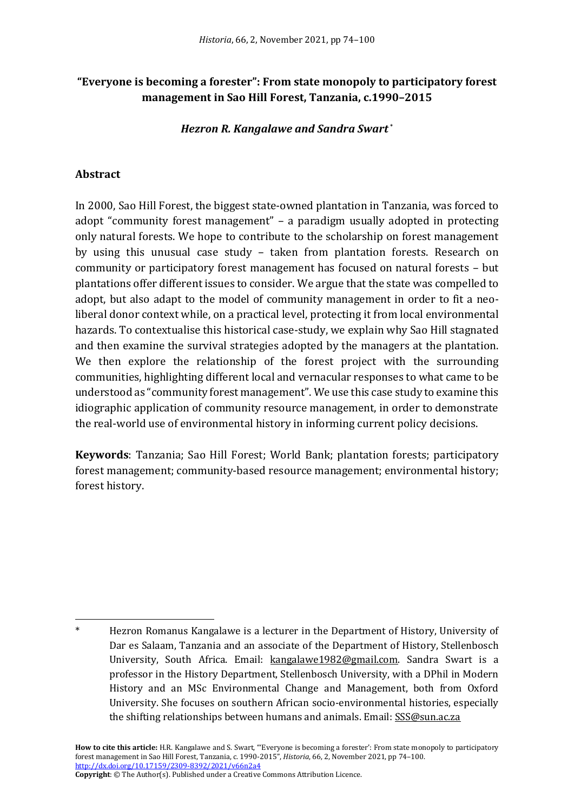## **"Everyone is becoming a forester": From state monopoly to participatory forest management in Sao Hill Forest, Tanzania, c.1990–2015**

#### *Hezron R. Kangalawe and Sandra Swart* \*

#### **Abstract**

In 2000, Sao Hill Forest, the biggest state-owned plantation in Tanzania, was forced to adopt "community forest management" – a paradigm usually adopted in protecting only natural forests. We hope to contribute to the scholarship on forest management by using this unusual case study – taken from plantation forests. Research on community or participatory forest management has focused on natural forests – but plantations offer different issues to consider. We argue that the state was compelled to adopt, but also adapt to the model of community management in order to fit a neoliberal donor context while, on a practical level, protecting it from local environmental hazards. To contextualise this historical case-study, we explain why Sao Hill stagnated and then examine the survival strategies adopted by the managers at the plantation. We then explore the relationship of the forest project with the surrounding communities, highlighting different local and vernacular responses to what came to be understood as "community forest management". We use this case study to examine this idiographic application of community resource management, in order to demonstrate the real-world use of environmental history in informing current policy decisions.

**Keywords**: Tanzania; Sao Hill Forest; World Bank; plantation forests; participatory forest management; community-based resource management; environmental history; forest history.

**Copyright**: © The Author(s). Published under a Creative Commons Attribution Licence.

Hezron Romanus Kangalawe is a lecturer in the Department of History, University of Dar es Salaam, Tanzania and an associate of the Department of History, Stellenbosch University, South Africa. Email: kangalawe1982@gmail.com. Sandra Swart is a professor in the History Department, Stellenbosch University, with a DPhil in Modern History and an MSc Environmental Change and Management, both from Oxford University. She focuses on southern African socio-environmental histories, especially the shifting relationships between humans and animals. Email: SSS@sun.ac.za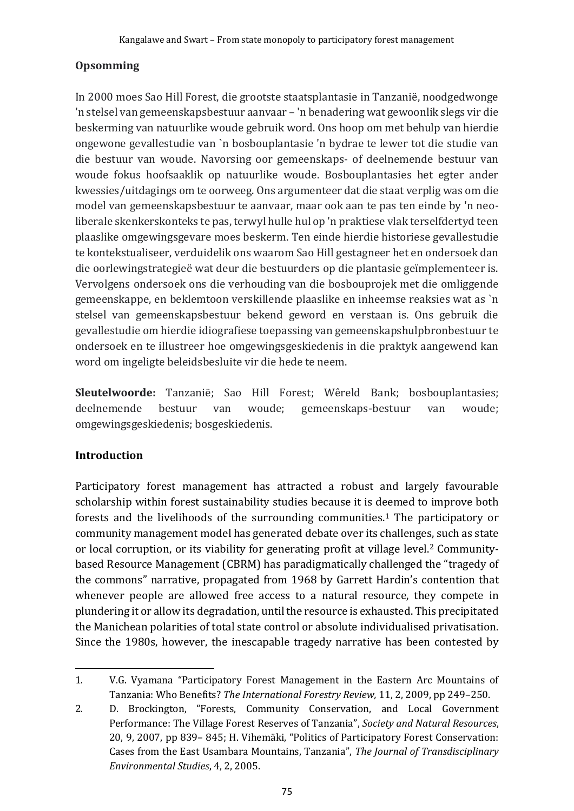# **Opsomming**

In 2000 moes Sao Hill Forest, die grootste staatsplantasie in Tanzanië, noodgedwonge 'n stelsel van gemeenskapsbestuur aanvaar – 'n benadering wat gewoonlik slegs vir die beskerming van natuurlike woude gebruik word. Ons hoop om met behulp van hierdie ongewone gevallestudie van `n bosbouplantasie 'n bydrae te lewer tot die studie van die bestuur van woude. Navorsing oor gemeenskaps- of deelnemende bestuur van woude fokus hoofsaaklik op natuurlike woude. Bosbouplantasies het egter ander kwessies/uitdagings om te oorweeg. Ons argumenteer dat die staat verplig was om die model van gemeenskapsbestuur te aanvaar, maar ook aan te pas ten einde by 'n neoliberale skenkerskonteks te pas, terwyl hulle hul op 'n praktiese vlak terselfdertyd teen plaaslike omgewingsgevare moes beskerm. Ten einde hierdie historiese gevallestudie te kontekstualiseer, verduidelik ons waarom Sao Hill gestagneer het en ondersoek dan die oorlewingstrategieë wat deur die bestuurders op die plantasie geïmplementeer is. Vervolgens ondersoek ons die verhouding van die bosbouprojek met die omliggende gemeenskappe, en beklemtoon verskillende plaaslike en inheemse reaksies wat as `n stelsel van gemeenskapsbestuur bekend geword en verstaan is. Ons gebruik die gevallestudie om hierdie idiografiese toepassing van gemeenskapshulpbronbestuur te ondersoek en te illustreer hoe omgewingsgeskiedenis in die praktyk aangewend kan word om ingeligte beleidsbesluite vir die hede te neem.

**Sleutelwoorde:** Tanzanië; Sao Hill Forest; Wêreld Bank; bosbouplantasies; deelnemende bestuur van woude; gemeenskaps-bestuur van woude; omgewingsgeskiedenis; bosgeskiedenis.

# **Introduction**

Participatory forest management has attracted a robust and largely favourable scholarship within forest sustainability studies because it is deemed to improve both forests and the livelihoods of the surrounding communities. <sup>1</sup> The participatory or community management model has generated debate over its challenges, such as state or local corruption, or its viability for generating profit at village level. <sup>2</sup> Communitybased Resource Management (CBRM) has paradigmatically challenged the "tragedy of the commons" narrative, propagated from 1968 by Garrett Hardin's contention that whenever people are allowed free access to a natural resource, they compete in plundering it or allow its degradation, until the resource is exhausted. This precipitated the Manichean polarities of total state control or absolute individualised privatisation. Since the 1980s, however, the inescapable tragedy narrative has been contested by

<sup>1.</sup> V.G. Vyamana "Participatory Forest Management in the Eastern Arc Mountains of Tanzania: Who Benefits? *The International Forestry Review,* 11, 2, 2009, pp 249–250.

<sup>2.</sup> D. Brockington, "Forests, Community Conservation, and Local Government Performance: The Village Forest Reserves of Tanzania", *Society and Natural Resources*, 20, 9, 2007, pp 839– 845; H. Vihemäki, "Politics of Participatory Forest Conservation: Cases from the East Usambara Mountains, Tanzania", *The Journal of Transdisciplinary Environmental Studies*, 4, 2, 2005.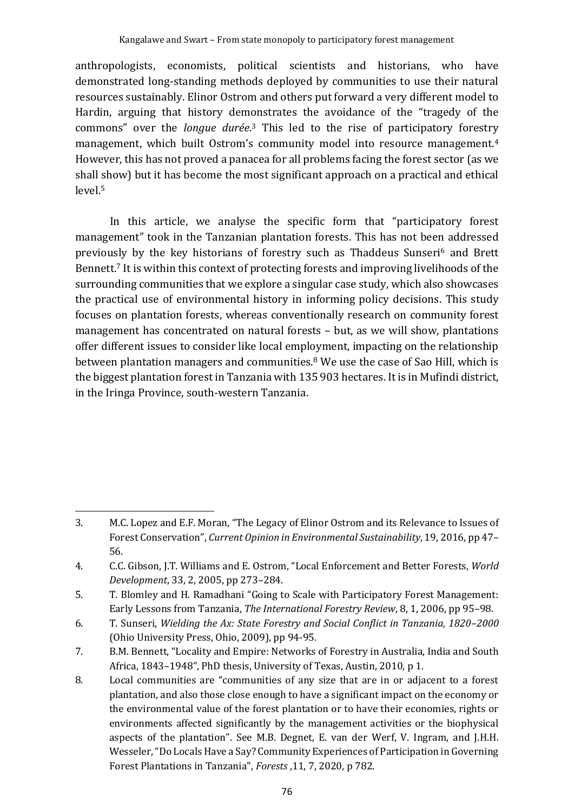anthropologists, economists, political scientists and historians, who have demonstrated long-standing methods deployed by communities to use their natural resources sustainably. Elinor Ostrom and others put forward a very different model to Hardin, arguing that history demonstrates the avoidance of the "tragedy of the commons" over the *longue durée*. <sup>3</sup> This led to the rise of participatory forestry management, which built Ostrom's community model into resource management.<sup>4</sup> However, this has not proved a panacea for all problems facing the forest sector (as we shall show) but it has become the most significant approach on a practical and ethical level. 5

In this article, we analyse the specific form that "participatory forest management" took in the Tanzanian plantation forests. This has not been addressed previously by the key historians of forestry such as Thaddeus Sunseri<sup>6</sup> and Brett Bennett.<sup>7</sup> It is within this context of protecting forests and improving livelihoods of the surrounding communities that we explore a singular case study, which also showcases the practical use of environmental history in informing policy decisions. This study focuses on plantation forests, whereas conventionally research on community forest management has concentrated on natural forests – but, as we will show, plantations offer different issues to consider like local employment, impacting on the relationship between plantation managers and communities.<sup>8</sup> We use the case of Sao Hill, which is the biggest plantation forest in Tanzania with 135 903 hectares. It is in Mufindi district, in the Iringa Province, south-western Tanzania.

<sup>3.</sup> M.C. Lopez and E.F. Moran, "The Legacy of Elinor Ostrom and its Relevance to Issues of Forest Conservation", *Current Opinion in Environmental Sustainability*, 19, 2016, pp 47– 56.

<sup>4.</sup> C.C. Gibson, J.T. Williams and E. Ostrom, "Local Enforcement and Better Forests, *World Development*, 33, 2, 2005, pp 273–284.

<sup>5.</sup> T. Blomley and H. Ramadhani "Going to Scale with Participatory Forest Management: Early Lessons from Tanzania, *The International Forestry Review*, 8, 1, 2006, pp 95–98.

<sup>6.</sup> T. Sunseri, *Wielding the Ax: State Forestry and Social Conflict in Tanzania, 1820*–*2000* (Ohio University Press, Ohio, 2009), pp 94-95.

<sup>7.</sup> B.M. Bennett, "Locality and Empire: Networks of Forestry in Australia, India and South Africa, 1843–1948", PhD thesis, University of Texas, Austin, 2010, p 1.

<sup>8.</sup> Local communities are "communities of any size that are in or adjacent to a forest plantation, and also those close enough to have a significant impact on the economy or the environmental value of the forest plantation or to have their economies, rights or environments affected significantly by the management activities or the biophysical aspects of the plantation". See M.B. Degnet, E. van der Werf, V. Ingram, and J.H.H. Wesseler, "Do Locals Have a Say? Community Experiences of Participation in Governing Forest Plantations in Tanzania", *Forests* ,11, 7, 2020, p 782.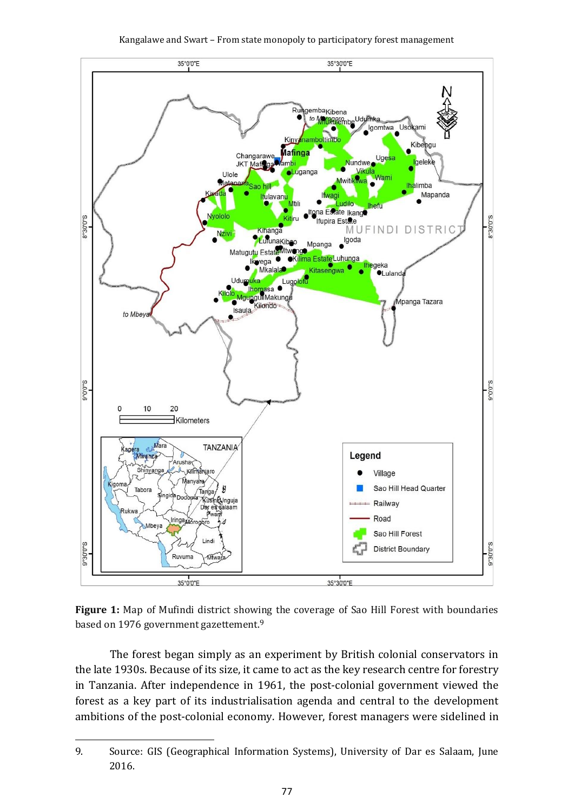



**Figure 1:** Map of Mufindi district showing the coverage of Sao Hill Forest with boundaries based on 1976 government gazettement.<sup>9</sup>

The forest began simply as an experiment by British colonial conservators in the late 1930s. Because of its size, it came to act as the key research centre for forestry in Tanzania. After independence in 1961, the post-colonial government viewed the forest as a key part of its industrialisation agenda and central to the development ambitions of the post-colonial economy. However, forest managers were sidelined in

<sup>9.</sup> Source: GIS (Geographical Information Systems), University of Dar es Salaam, June 2016.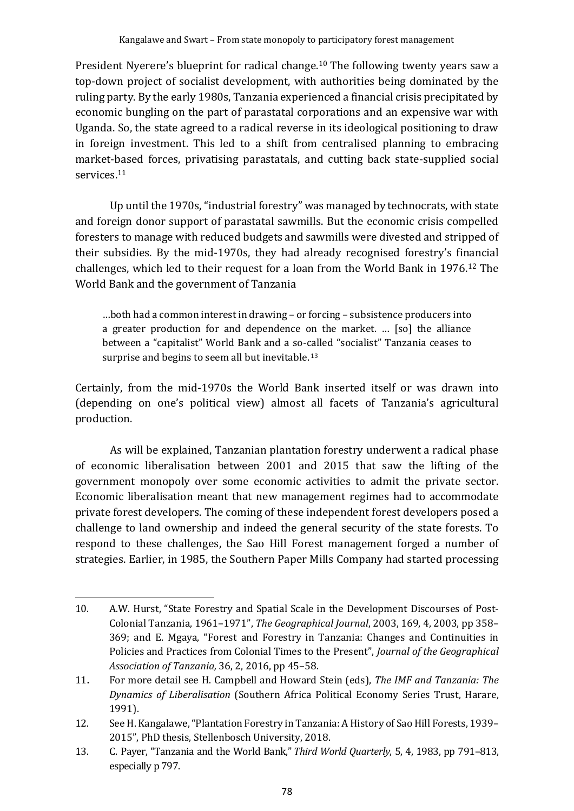President Nyerere's blueprint for radical change. <sup>10</sup> The following twenty years saw a top-down project of socialist development, with authorities being dominated by the ruling party. By the early 1980s, Tanzania experienced a financial crisis precipitated by economic bungling on the part of parastatal corporations and an expensive war with Uganda. So, the state agreed to a radical reverse in its ideological positioning to draw in foreign investment. This led to a shift from centralised planning to embracing market-based forces, privatising parastatals, and cutting back state-supplied social services.<sup>11</sup>

Up until the 1970s, "industrial forestry" was managed by technocrats, with state and foreign donor support of parastatal sawmills. But the economic crisis compelled foresters to manage with reduced budgets and sawmills were divested and stripped of their subsidies. By the mid-1970s, they had already recognised forestry's financial challenges, which led to their request for a loan from the World Bank in 1976.<sup>12</sup> The World Bank and the government of Tanzania

…both had a common interest in drawing – or forcing – subsistence producers into a greater production for and dependence on the market. … [so] the alliance between a "capitalist" World Bank and a so-called "socialist" Tanzania ceases to surprise and begins to seem all but inevitable.<sup>13</sup>

Certainly, from the mid-1970s the World Bank inserted itself or was drawn into (depending on one's political view) almost all facets of Tanzania's agricultural production.

As will be explained, Tanzanian plantation forestry underwent a radical phase of economic liberalisation between 2001 and 2015 that saw the lifting of the government monopoly over some economic activities to admit the private sector. Economic liberalisation meant that new management regimes had to accommodate private forest developers. The coming of these independent forest developers posed a challenge to land ownership and indeed the general security of the state forests. To respond to these challenges, the Sao Hill Forest management forged a number of strategies. Earlier, in 1985, the Southern Paper Mills Company had started processing

<sup>10.</sup> A.W. Hurst, "State Forestry and Spatial Scale in the Development Discourses of Post-Colonial Tanzania, 1961–1971", *The Geographical Journal*, 2003, 169, 4, 2003, pp 358– 369; and E. Mgaya, "Forest and Forestry in Tanzania: Changes and Continuities in Policies and Practices from Colonial Times to the Present", *Journal of the Geographical Association of Tanzania,* 36, 2, 2016, pp 45–58.

<sup>11</sup>**.** For more detail see H. Campbell and Howard Stein (eds), *The IMF and Tanzania: The Dynamics of Liberalisation* (Southern Africa Political Economy Series Trust, Harare, 1991).

<sup>12.</sup> See H. Kangalawe, "Plantation Forestry in Tanzania: A History of Sao Hill Forests, 1939– 2015", PhD thesis, Stellenbosch University, 2018.

<sup>13.</sup> C. Payer, "Tanzania and the World Bank," *Third World Quarterly*, 5, 4, 1983, pp 791–813, especially p 797.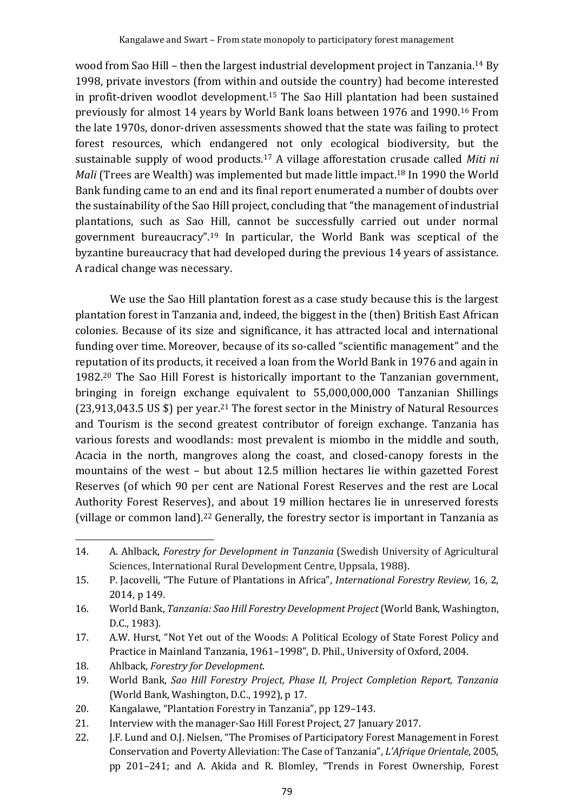wood from Sao Hill - then the largest industrial development project in Tanzania.<sup>14</sup> By 1998, private investors (from within and outside the country) had become interested in profit-driven woodlot development.<sup>15</sup> The Sao Hill plantation had been sustained previously for almost 14 years by World Bank loans between 1976 and 1990.<sup>16</sup> From the late 1970s, donor-driven assessments showed that the state was failing to protect forest resources, which endangered not only ecological biodiversity, but the sustainable supply of wood products.<sup>17</sup> A village afforestation crusade called *Miti ni Mali* (Trees are Wealth) was implemented but made little impact.<sup>18</sup> In 1990 the World Bank funding came to an end and its final report enumerated a number of doubts over the sustainability of the Sao Hill project, concluding that "the management of industrial plantations, such as Sao Hill, cannot be successfully carried out under normal government bureaucracy".<sup>19</sup> In particular, the World Bank was sceptical of the byzantine bureaucracy that had developed during the previous 14 years of assistance. A radical change was necessary.

We use the Sao Hill plantation forest as a case study because this is the largest plantation forest in Tanzania and, indeed, the biggest in the (then) British East African colonies. Because of its size and significance, it has attracted local and international funding over time. Moreover, because of its so-called "scientific management" and the reputation of its products, it received a loan from the World Bank in 1976 and again in 1982.<sup>20</sup> The Sao Hill Forest is historically important to the Tanzanian government, bringing in foreign exchange equivalent to 55,000,000,000 Tanzanian Shillings (23,913,043.5 US \$) per year.<sup>21</sup> The forest sector in the Ministry of Natural Resources and Tourism is the second greatest contributor of foreign exchange. Tanzania has various forests and woodlands: most prevalent is miombo in the middle and south, Acacia in the north, mangroves along the coast, and closed-canopy forests in the mountains of the west – but about 12.5 million hectares lie within gazetted Forest Reserves (of which 90 per cent are National Forest Reserves and the rest are Local Authority Forest Reserves), and about 19 million hectares lie in unreserved forests (village or common land). <sup>22</sup> Generally, the forestry sector is important in Tanzania as

<sup>14.</sup> A. Ahlback, *Forestry for Development in Tanzania* (Swedish University of Agricultural Sciences, International Rural Development Centre, Uppsala, 1988).

<sup>15.</sup> P. Jacovelli, "The Future of Plantations in Africa", *International Forestry Review,* 16, 2, 2014, p 149.

<sup>16.</sup> World Bank, *Tanzania: Sao Hill Forestry Development Project*(World Bank, Washington, D.C., 1983).

<sup>17.</sup> A.W. Hurst, "Not Yet out of the Woods: A Political Ecology of State Forest Policy and Practice in Mainland Tanzania, 1961–1998", D. Phil., University of Oxford, 2004.

<sup>18.</sup> Ahlback, *Forestry for Development*.

<sup>19.</sup> World Bank, *Sao Hill Forestry Project, Phase II, Project Completion Report, Tanzania* (World Bank, Washington, D.C., 1992), p 17.

<sup>20.</sup> Kangalawe, "Plantation Forestry in Tanzania", pp 129–143.

<sup>21.</sup> Interview with the manager-Sao Hill Forest Project, 27 January 2017.

<sup>22.</sup> J.F. Lund and O.J. Nielsen, "The Promises of Participatory Forest Management in Forest Conservation and Poverty Alleviation: The Case of Tanzania", *L'Afrique Orientale*, 2005, pp 201–241; and A. Akida and R. Blomley, "Trends in Forest Ownership, Forest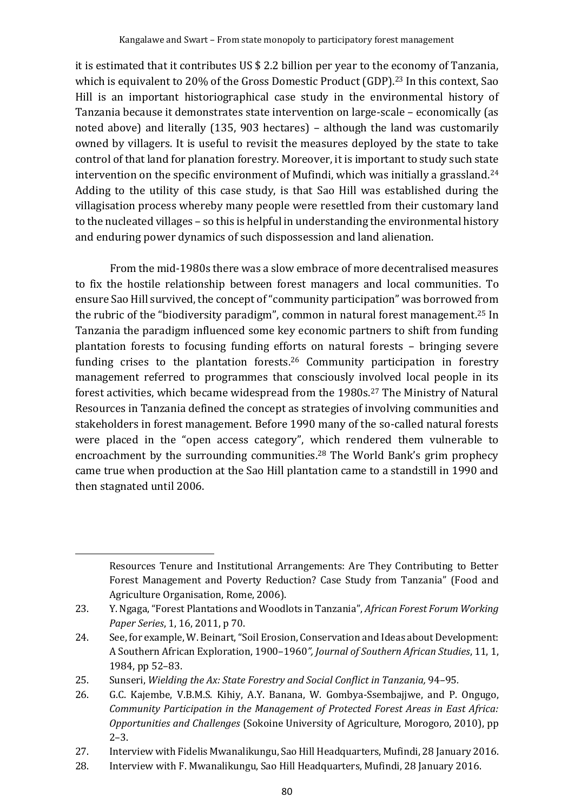it is estimated that it contributes US \$ 2.2 billion per year to the economy of Tanzania, which is equivalent to 20% of the Gross Domestic Product (GDP). <sup>23</sup> In this context, Sao Hill is an important historiographical case study in the environmental history of Tanzania because it demonstrates state intervention on large-scale – economically (as noted above) and literally (135, 903 hectares) – although the land was customarily owned by villagers. It is useful to revisit the measures deployed by the state to take control of that land for planation forestry. Moreover, it is important to study such state intervention on the specific environment of Mufindi, which was initially a grassland.<sup>24</sup> Adding to the utility of this case study, is that Sao Hill was established during the villagisation process whereby many people were resettled from their customary land to the nucleated villages – so this is helpful in understanding the environmental history and enduring power dynamics of such dispossession and land alienation.

From the mid-1980s there was a slow embrace of more decentralised measures to fix the hostile relationship between forest managers and local communities. To ensure Sao Hill survived, the concept of "community participation" was borrowed from the rubric of the "biodiversity paradigm", common in natural forest management. <sup>25</sup> In Tanzania the paradigm influenced some key economic partners to shift from funding plantation forests to focusing funding efforts on natural forests – bringing severe funding crises to the plantation forests.<sup>26</sup> Community participation in forestry management referred to programmes that consciously involved local people in its forest activities, which became widespread from the 1980s. <sup>27</sup> The Ministry of Natural Resources in Tanzania defined the concept as strategies of involving communities and stakeholders in forest management. Before 1990 many of the so-called natural forests were placed in the "open access category", which rendered them vulnerable to encroachment by the surrounding communities.<sup>28</sup> The World Bank's grim prophecy came true when production at the Sao Hill plantation came to a standstill in 1990 and then stagnated until 2006.

Resources Tenure and Institutional Arrangements: Are They Contributing to Better Forest Management and Poverty Reduction? Case Study from Tanzania" (Food and Agriculture Organisation, Rome, 2006).

<sup>23.</sup> Y. Ngaga,"Forest Plantations and Woodlots in Tanzania", *African Forest Forum Working Paper Series*, 1, 16, 2011, p 70.

<sup>24.</sup> See, for example, W. Beinart, "Soil Erosion, Conservation and Ideas about Development: A Southern African Exploration, 1900–1960*", Journal of Southern African Studies*, 11, 1, 1984, pp 52–83.

<sup>25.</sup> Sunseri, *Wielding the Ax: State Forestry and Social Conflict in Tanzania,* 94–95*.*

<sup>26.</sup> G.C. Kajembe, V.B.M.S. Kihiy, A.Y. Banana, W. Gombya-Ssembajjwe, and P. Ongugo, *Community Participation in the Management of Protected Forest Areas in East Africa: Opportunities and Challenges* (Sokoine University of Agriculture, Morogoro, 2010), pp 2–3.

<sup>27.</sup> Interview with Fidelis Mwanalikungu, Sao Hill Headquarters, Mufindi, 28 January 2016.

<sup>28.</sup> Interview with F. Mwanalikungu, Sao Hill Headquarters, Mufindi, 28 January 2016.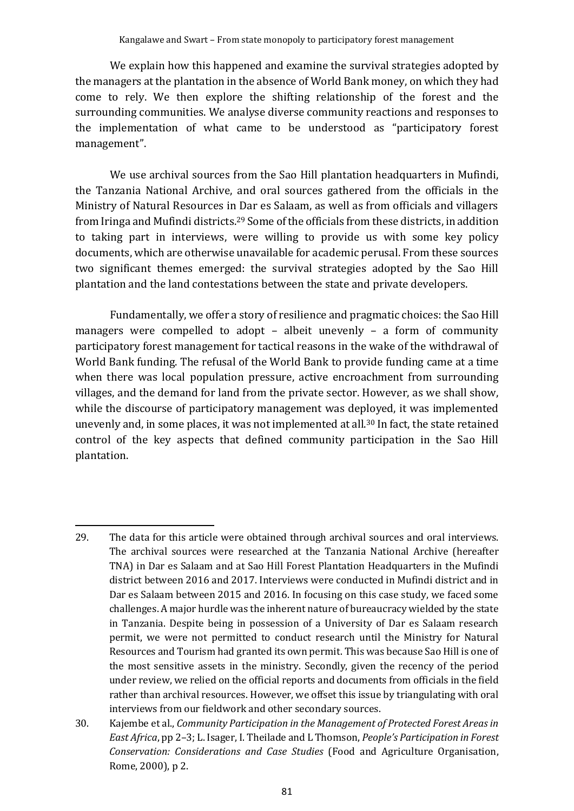We explain how this happened and examine the survival strategies adopted by the managers at the plantation in the absence of World Bank money, on which they had come to rely. We then explore the shifting relationship of the forest and the surrounding communities. We analyse diverse community reactions and responses to the implementation of what came to be understood as "participatory forest management".

We use archival sources from the Sao Hill plantation headquarters in Mufindi, the Tanzania National Archive, and oral sources gathered from the officials in the Ministry of Natural Resources in Dar es Salaam, as well as from officials and villagers from Iringa and Mufindi districts.<sup>29</sup> Some of the officials from these districts, in addition to taking part in interviews, were willing to provide us with some key policy documents, which are otherwise unavailable for academic perusal. From these sources two significant themes emerged: the survival strategies adopted by the Sao Hill plantation and the land contestations between the state and private developers.

Fundamentally, we offer a story of resilience and pragmatic choices: the Sao Hill managers were compelled to adopt - albeit unevenly - a form of community participatory forest management for tactical reasons in the wake of the withdrawal of World Bank funding. The refusal of the World Bank to provide funding came at a time when there was local population pressure, active encroachment from surrounding villages, and the demand for land from the private sector. However, as we shall show, while the discourse of participatory management was deployed, it was implemented unevenly and, in some places, it was not implemented at all.<sup>30</sup> In fact, the state retained control of the key aspects that defined community participation in the Sao Hill plantation.

<sup>29.</sup> The data for this article were obtained through archival sources and oral interviews. The archival sources were researched at the Tanzania National Archive (hereafter TNA) in Dar es Salaam and at Sao Hill Forest Plantation Headquarters in the Mufindi district between 2016 and 2017. Interviews were conducted in Mufindi district and in Dar es Salaam between 2015 and 2016. In focusing on this case study, we faced some challenges. A major hurdle was the inherent nature of bureaucracy wielded by the state in Tanzania. Despite being in possession of a University of Dar es Salaam research permit, we were not permitted to conduct research until the Ministry for Natural Resources and Tourism had granted its own permit. This was because Sao Hill is one of the most sensitive assets in the ministry. Secondly, given the recency of the period under review, we relied on the official reports and documents from officials in the field rather than archival resources. However, we offset this issue by triangulating with oral interviews from our fieldwork and other secondary sources.

<sup>30.</sup> Kajembe et al., *Community Participation in the Management of Protected Forest Areas in East Africa*, pp 2–3; L. Isager, I. Theilade and L Thomson, *People's Participation in Forest Conservation: Considerations and Case Studies* (Food and Agriculture Organisation, Rome, 2000), p 2.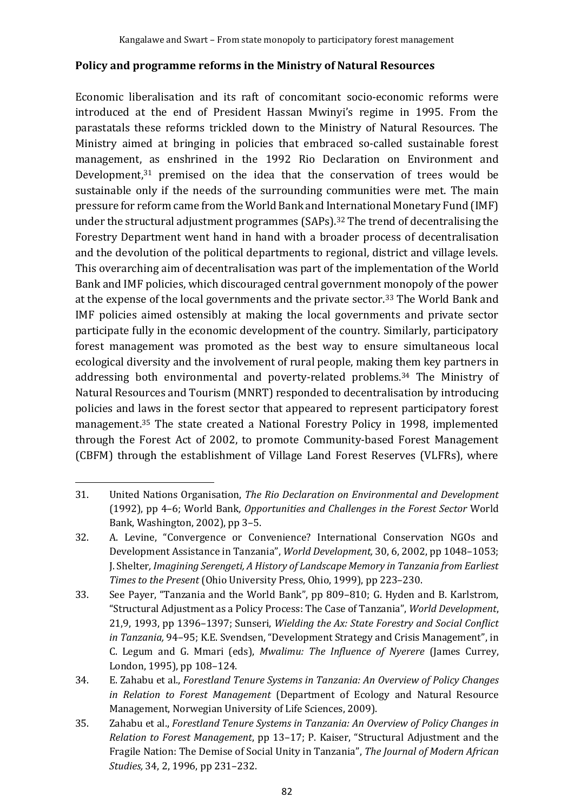#### **Policy and programme reforms in the Ministry of Natural Resources**

Economic liberalisation and its raft of concomitant socio-economic reforms were introduced at the end of President Hassan Mwinyi's regime in 1995. From the parastatals these reforms trickled down to the Ministry of Natural Resources. The Ministry aimed at bringing in policies that embraced so-called sustainable forest management, as enshrined in the 1992 Rio Declaration on Environment and Development, <sup>31</sup> premised on the idea that the conservation of trees would be sustainable only if the needs of the surrounding communities were met. The main pressure for reform came from the World Bank and International Monetary Fund (IMF) under the structural adjustment programmes (SAPs).<sup>32</sup> The trend of decentralising the Forestry Department went hand in hand with a broader process of decentralisation and the devolution of the political departments to regional, district and village levels. This overarching aim of decentralisation was part of the implementation of the World Bank and IMF policies, which discouraged central government monopoly of the power at the expense of the local governments and the private sector.<sup>33</sup> The World Bank and IMF policies aimed ostensibly at making the local governments and private sector participate fully in the economic development of the country. Similarly, participatory forest management was promoted as the best way to ensure simultaneous local ecological diversity and the involvement of rural people, making them key partners in addressing both environmental and poverty-related problems.<sup>34</sup> The Ministry of Natural Resources and Tourism (MNRT) responded to decentralisation by introducing policies and laws in the forest sector that appeared to represent participatory forest management.<sup>35</sup> The state created a National Forestry Policy in 1998, implemented through the Forest Act of 2002, to promote Community-based Forest Management (CBFM) through the establishment of Village Land Forest Reserves (VLFRs), where

<sup>31.</sup> United Nations Organisation, *The Rio Declaration on Environmental and Development* (1992), pp 4–6; World Bank*, Opportunities and Challenges in the Forest Sector* World Bank, Washington, 2002), pp 3–5.

<sup>32.</sup> A. Levine, "Convergence or Convenience? International Conservation NGOs and Development Assistance in Tanzania", *World Development,* 30, 6, 2002, pp 1048–1053; J. Shelter*, Imagining Serengeti, A History of Landscape Memory in Tanzania from Earliest Times to the Present* (Ohio University Press, Ohio, 1999), pp 223–230.

<sup>33.</sup> See Payer, "Tanzania and the World Bank", pp 809–810; G. Hyden and B. Karlstrom, "Structural Adjustment as a Policy Process: The Case of Tanzania", *World Development*, 21,9, 1993, pp 1396–1397; Sunseri, *Wielding the Ax: State Forestry and Social Conflict in Tanzania,* 94–95; K.E. Svendsen, "Development Strategy and Crisis Management", in C. Legum and G. Mmari (eds), *Mwalimu: The Influence of Nyerere* (James Currey, London, 1995), pp 108–124.

<sup>34.</sup> E. Zahabu et al., *Forestland Tenure Systems in Tanzania: An Overview of Policy Changes in Relation to Forest Management* (Department of Ecology and Natural Resource Management, Norwegian University of Life Sciences, 2009).

<sup>35.</sup> Zahabu et al., *Forestland Tenure Systems in Tanzania: An Overview of Policy Changes in Relation to Forest Management*, pp 13–17; P. Kaiser, "Structural Adjustment and the Fragile Nation: The Demise of Social Unity in Tanzania", *The Journal of Modern African Studies,* 34, 2, 1996, pp 231–232.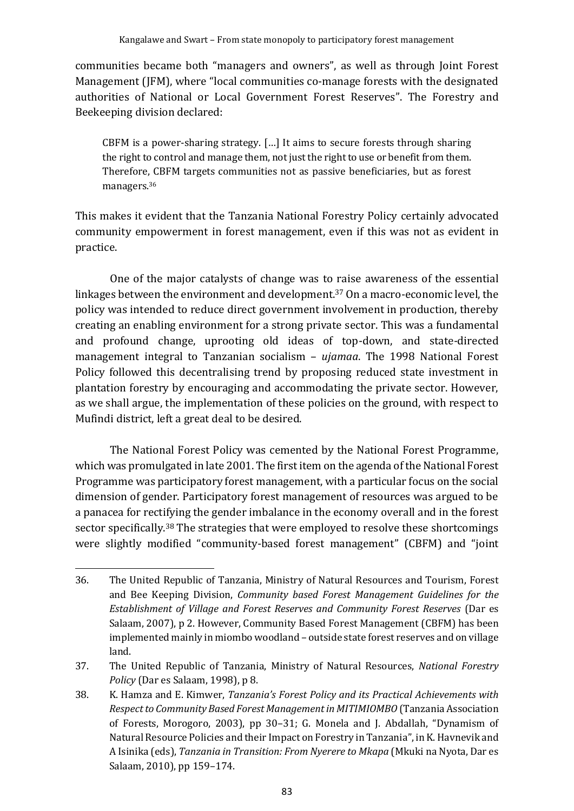communities became both "managers and owners", as well as through Joint Forest Management (JFM), where "local communities co-manage forests with the designated authorities of National or Local Government Forest Reserves". The Forestry and Beekeeping division declared:

CBFM is a power-sharing strategy. […] It aims to secure forests through sharing the right to control and manage them, not just the right to use or benefit from them. Therefore, CBFM targets communities not as passive beneficiaries, but as forest managers.<sup>36</sup>

This makes it evident that the Tanzania National Forestry Policy certainly advocated community empowerment in forest management, even if this was not as evident in practice.

One of the major catalysts of change was to raise awareness of the essential linkages between the environment and development.<sup>37</sup> On a macro-economic level, the policy was intended to reduce direct government involvement in production, thereby creating an enabling environment for a strong private sector. This was a fundamental and profound change, uprooting old ideas of top-down, and state-directed management integral to Tanzanian socialism – *ujamaa*. The 1998 National Forest Policy followed this decentralising trend by proposing reduced state investment in plantation forestry by encouraging and accommodating the private sector. However, as we shall argue, the implementation of these policies on the ground, with respect to Mufindi district, left a great deal to be desired.

The National Forest Policy was cemented by the National Forest Programme, which was promulgated in late 2001. The first item on the agenda of the National Forest Programme was participatory forest management, with a particular focus on the social dimension of gender. Participatory forest management of resources was argued to be a panacea for rectifying the gender imbalance in the economy overall and in the forest sector specifically.<sup>38</sup> The strategies that were employed to resolve these shortcomings were slightly modified "community-based forest management" (CBFM) and "joint

<sup>36.</sup> The United Republic of Tanzania, Ministry of Natural Resources and Tourism, Forest and Bee Keeping Division, *Community based Forest Management Guidelines for the Establishment of Village and Forest Reserves and Community Forest Reserves* (Dar es Salaam, 2007), p 2. However, Community Based Forest Management (CBFM) has been implemented mainly in miombo woodland – outside state forest reserves and on village land.

<sup>37.</sup> The United Republic of Tanzania, Ministry of Natural Resources, *National Forestry Policy* (Dar es Salaam, 1998), p 8.

<sup>38.</sup> K. Hamza and E. Kimwer, *Tanzania's Forest Policy and its Practical Achievements with Respect to Community Based Forest Management in MITIMIOMBO* (Tanzania Association of Forests, Morogoro, 2003), pp 30–31; G. Monela and J. Abdallah, "Dynamism of Natural Resource Policies and their Impact on Forestry in Tanzania", in K. Havnevik and A Isinika (eds), *Tanzania in Transition: From Nyerere to Mkapa* (Mkuki na Nyota, Dar es Salaam, 2010), pp 159–174.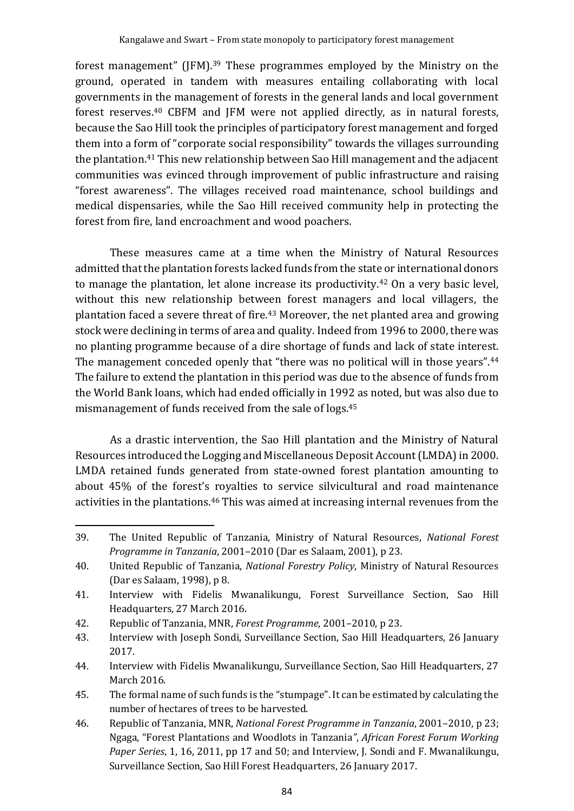forest management" (JFM).<sup>39</sup> These programmes employed by the Ministry on the ground, operated in tandem with measures entailing collaborating with local governments in the management of forests in the general lands and local government forest reserves.<sup>40</sup> CBFM and JFM were not applied directly, as in natural forests, because the Sao Hill took the principles of participatory forest management and forged them into a form of "corporate social responsibility" towards the villages surrounding the plantation. <sup>41</sup> This new relationship between Sao Hill management and the adjacent communities was evinced through improvement of public infrastructure and raising "forest awareness". The villages received road maintenance, school buildings and medical dispensaries, while the Sao Hill received community help in protecting the forest from fire, land encroachment and wood poachers.

These measures came at a time when the Ministry of Natural Resources admitted that the plantation forests lacked funds from the state or international donors to manage the plantation, let alone increase its productivity. <sup>42</sup> On a very basic level, without this new relationship between forest managers and local villagers, the plantation faced a severe threat of fire. <sup>43</sup> Moreover, the net planted area and growing stock were declining in terms of area and quality. Indeed from 1996 to 2000, there was no planting programme because of a dire shortage of funds and lack of state interest. The management conceded openly that "there was no political will in those years".<sup>44</sup> The failure to extend the plantation in this period was due to the absence of funds from the World Bank loans, which had ended officially in 1992 as noted, but was also due to mismanagement of funds received from the sale of logs.<sup>45</sup>

As a drastic intervention, the Sao Hill plantation and the Ministry of Natural Resources introduced the Logging and Miscellaneous Deposit Account (LMDA) in 2000. LMDA retained funds generated from state-owned forest plantation amounting to about 45% of the forest's royalties to service silvicultural and road maintenance activities in the plantations.<sup>46</sup> This was aimed at increasing internal revenues from the

<sup>39.</sup> The United Republic of Tanzania, Ministry of Natural Resources, *National Forest Programme in Tanzania*, 2001–2010 (Dar es Salaam, 2001), p 23.

<sup>40.</sup> United Republic of Tanzania, *National Forestry Policy*, Ministry of Natural Resources (Dar es Salaam, 1998), p 8.

<sup>41.</sup> Interview with Fidelis Mwanalikungu, Forest Surveillance Section, Sao Hill Headquarters, 27 March 2016.

<sup>42.</sup> Republic of Tanzania, MNR, *Forest Programme*, 2001–2010, p 23.

<sup>43.</sup> Interview with Joseph Sondi, Surveillance Section, Sao Hill Headquarters, 26 January 2017.

<sup>44.</sup> Interview with Fidelis Mwanalikungu, Surveillance Section, Sao Hill Headquarters, 27 March 2016.

<sup>45.</sup> The formal name of such funds is the "stumpage". It can be estimated by calculating the number of hectares of trees to be harvested.

<sup>46.</sup> Republic of Tanzania, MNR, *National Forest Programme in Tanzania*, 2001–2010, p 23; Ngaga, "Forest Plantations and Woodlots in Tanzania*"*, *African Forest Forum Working Paper Series*, 1, 16, 2011, pp 17 and 50; and Interview, J. Sondi and F. Mwanalikungu, Surveillance Section, Sao Hill Forest Headquarters, 26 January 2017.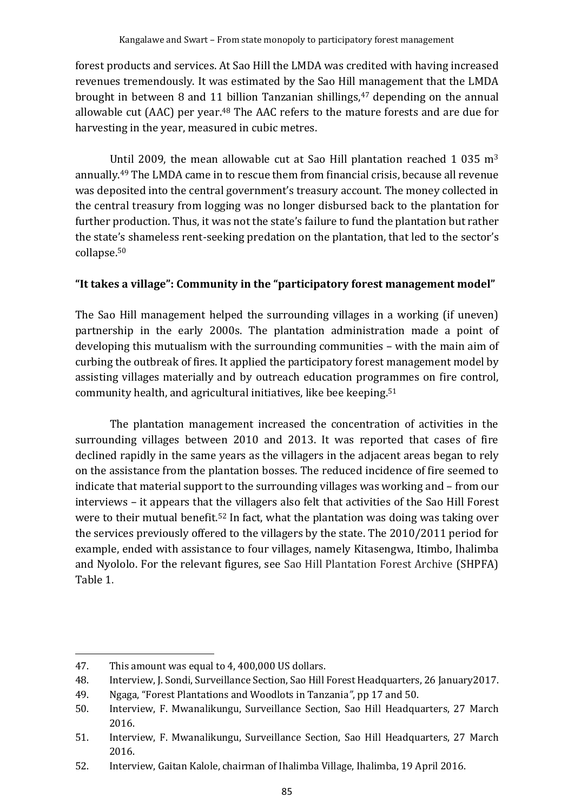forest products and services. At Sao Hill the LMDA was credited with having increased revenues tremendously. It was estimated by the Sao Hill management that the LMDA brought in between 8 and 11 billion Tanzanian shillings, <sup>47</sup> depending on the annual allowable cut (AAC) per year.<sup>48</sup> The AAC refers to the mature forests and are due for harvesting in the year, measured in cubic metres.

Until 2009, the mean allowable cut at Sao Hill plantation reached 1 035  $m<sup>3</sup>$ annually.<sup>49</sup> The LMDA came in to rescue them from financial crisis, because all revenue was deposited into the central government's treasury account. The money collected in the central treasury from logging was no longer disbursed back to the plantation for further production. Thus, it was not the state's failure to fund the plantation but rather the state's shameless rent-seeking predation on the plantation, that led to the sector's collapse. 50

### **"It takes a village": Community in the "participatory forest management model"**

The Sao Hill management helped the surrounding villages in a working (if uneven) partnership in the early 2000s. The plantation administration made a point of developing this mutualism with the surrounding communities – with the main aim of curbing the outbreak of fires. It applied the participatory forest management model by assisting villages materially and by outreach education programmes on fire control, community health, and agricultural initiatives, like bee keeping. 51

The plantation management increased the concentration of activities in the surrounding villages between 2010 and 2013. It was reported that cases of fire declined rapidly in the same years as the villagers in the adjacent areas began to rely on the assistance from the plantation bosses. The reduced incidence of fire seemed to indicate that material support to the surrounding villages was working and – from our interviews – it appears that the villagers also felt that activities of the Sao Hill Forest were to their mutual benefit.<sup>52</sup> In fact, what the plantation was doing was taking over the services previously offered to the villagers by the state. The 2010/2011 period for example, ended with assistance to four villages, namely Kitasengwa, Itimbo, Ihalimba and Nyololo. For the relevant figures, see Sao Hill Plantation Forest Archive (SHPFA) Table 1.

<sup>47.</sup> This amount was equal to 4, 400,000 US dollars.

<sup>48.</sup> Interview, J. Sondi, Surveillance Section, Sao Hill Forest Headquarters, 26 January2017.

<sup>49.</sup> Ngaga, "Forest Plantations and Woodlots in Tanzania*"*, pp 17 and 50.

<sup>50.</sup> Interview, F. Mwanalikungu, Surveillance Section, Sao Hill Headquarters, 27 March 2016.

<sup>51.</sup> Interview, F. Mwanalikungu, Surveillance Section, Sao Hill Headquarters, 27 March 2016.

<sup>52.</sup> Interview, Gaitan Kalole, chairman of Ihalimba Village, Ihalimba, 19 April 2016.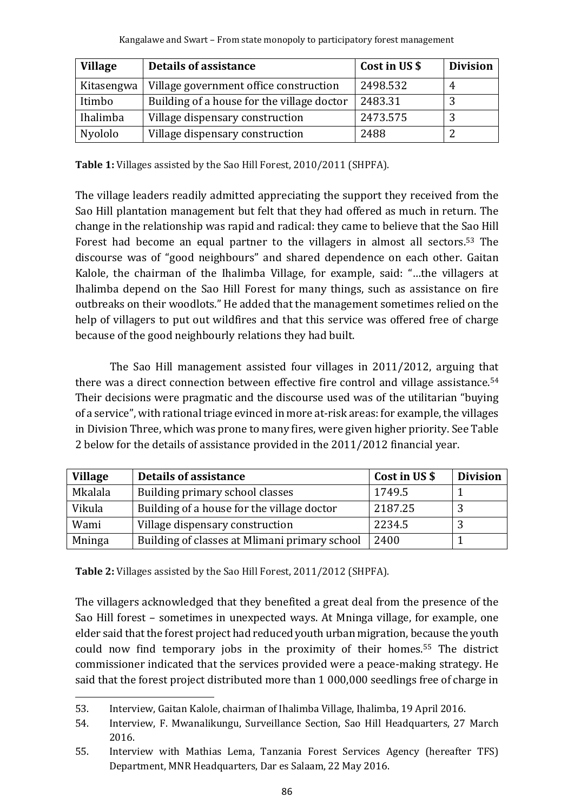| <b>Village</b> | <b>Details of assistance</b>               | Cost in US \$ | <b>Division</b> |
|----------------|--------------------------------------------|---------------|-----------------|
| Kitasengwa     | Village government office construction     | 2498.532      | 4               |
| Itimbo         | Building of a house for the village doctor | 2483.31       |                 |
| Ihalimba       | Village dispensary construction            | 2473.575      | ◠               |
| Nyololo        | Village dispensary construction            | 2488          |                 |

**Table 1:** Villages assisted by the Sao Hill Forest, 2010/2011 (SHPFA).

The village leaders readily admitted appreciating the support they received from the Sao Hill plantation management but felt that they had offered as much in return. The change in the relationship was rapid and radical: they came to believe that the Sao Hill Forest had become an equal partner to the villagers in almost all sectors.<sup>53</sup> The discourse was of "good neighbours" and shared dependence on each other. Gaitan Kalole, the chairman of the Ihalimba Village, for example, said: "…the villagers at Ihalimba depend on the Sao Hill Forest for many things, such as assistance on fire outbreaks on their woodlots." He added that the management sometimes relied on the help of villagers to put out wildfires and that this service was offered free of charge because of the good neighbourly relations they had built.

The Sao Hill management assisted four villages in 2011/2012, arguing that there was a direct connection between effective fire control and village assistance.<sup>54</sup> Their decisions were pragmatic and the discourse used was of the utilitarian "buying of a service", with rational triage evinced in more at-risk areas: for example, the villages in Division Three, which was prone to many fires, were given higher priority. See Table 2 below for the details of assistance provided in the 2011/2012 financial year.

| <b>Village</b> | Details of assistance                         | Cost in US \$ | <b>Division</b> |
|----------------|-----------------------------------------------|---------------|-----------------|
| Mkalala        | Building primary school classes               | 1749.5        |                 |
| Vikula         | Building of a house for the village doctor    | 2187.25       |                 |
| Wami           | Village dispensary construction               | 2234.5        |                 |
| Mninga         | Building of classes at Mlimani primary school | 2400          |                 |

**Table 2:** Villages assisted by the Sao Hill Forest, 2011/2012 (SHPFA).

The villagers acknowledged that they benefited a great deal from the presence of the Sao Hill forest – sometimes in unexpected ways. At Mninga village, for example, one elder said that the forest project had reduced youth urban migration, because the youth could now find temporary jobs in the proximity of their homes.<sup>55</sup> The district commissioner indicated that the services provided were a peace-making strategy. He said that the forest project distributed more than 1 000,000 seedlings free of charge in

<sup>53.</sup> Interview, Gaitan Kalole, chairman of Ihalimba Village, Ihalimba, 19 April 2016.

<sup>54.</sup> Interview, F. Mwanalikungu, Surveillance Section, Sao Hill Headquarters, 27 March 2016.

<sup>55.</sup> Interview with Mathias Lema, Tanzania Forest Services Agency (hereafter TFS) Department, MNR Headquarters, Dar es Salaam, 22 May 2016.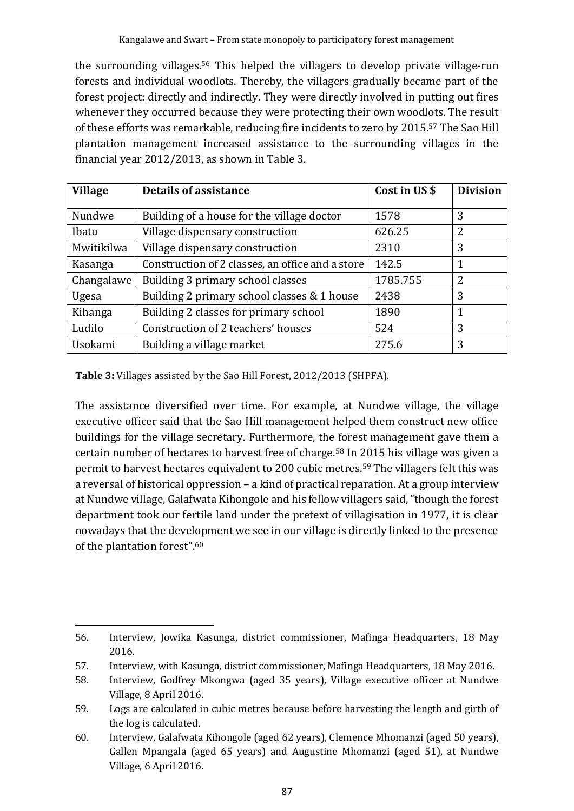the surrounding villages.<sup>56</sup> This helped the villagers to develop private village-run forests and individual woodlots. Thereby, the villagers gradually became part of the forest project: directly and indirectly. They were directly involved in putting out fires whenever they occurred because they were protecting their own woodlots. The result of these efforts was remarkable, reducing fire incidents to zero by 2015.<sup>57</sup> The Sao Hill plantation management increased assistance to the surrounding villages in the financial year 2012/2013, as shown in Table 3.

| <b>Village</b> | <b>Details of assistance</b>                     | Cost in US \$ | <b>Division</b> |
|----------------|--------------------------------------------------|---------------|-----------------|
|                |                                                  |               |                 |
| Nundwe         | Building of a house for the village doctor       |               | 3               |
| Ibatu          | 626.25<br>Village dispensary construction        |               | 2               |
| Mwitikilwa     | Village dispensary construction                  | 2310          | 3               |
| Kasanga        | Construction of 2 classes, an office and a store | 142.5         | 1               |
| Changalawe     | Building 3 primary school classes                | 1785.755      | 2               |
| Ugesa          | Building 2 primary school classes & 1 house      | 2438          | 3               |
| Kihanga        | Building 2 classes for primary school            | 1890          |                 |
| Ludilo         | Construction of 2 teachers' houses               | 524           | 3               |
| Usokami        | Building a village market                        | 275.6         | 3               |

**Table 3:** Villages assisted by the Sao Hill Forest, 2012/2013 (SHPFA).

The assistance diversified over time. For example, at Nundwe village, the village executive officer said that the Sao Hill management helped them construct new office buildings for the village secretary. Furthermore, the forest management gave them a certain number of hectares to harvest free of charge.<sup>58</sup> In 2015 his village was given a permit to harvest hectares equivalent to 200 cubic metres.<sup>59</sup> The villagers felt this was a reversal of historical oppression – a kind of practical reparation. At a group interview at Nundwe village, Galafwata Kihongole and his fellow villagers said, "though the forest department took our fertile land under the pretext of villagisation in 1977, it is clear nowadays that the development we see in our village is directly linked to the presence of the plantation forest".<sup>60</sup>

<sup>56.</sup> Interview, Jowika Kasunga, district commissioner, Mafinga Headquarters, 18 May 2016.

<sup>57.</sup> Interview, with Kasunga, district commissioner, Mafinga Headquarters, 18 May 2016.

<sup>58.</sup> Interview, Godfrey Mkongwa (aged 35 years), Village executive officer at Nundwe Village, 8 April 2016.

<sup>59.</sup> Logs are calculated in cubic metres because before harvesting the length and girth of the log is calculated.

<sup>60.</sup> Interview, Galafwata Kihongole (aged 62 years), Clemence Mhomanzi (aged 50 years), Gallen Mpangala (aged 65 years) and Augustine Mhomanzi (aged 51), at Nundwe Village, 6 April 2016.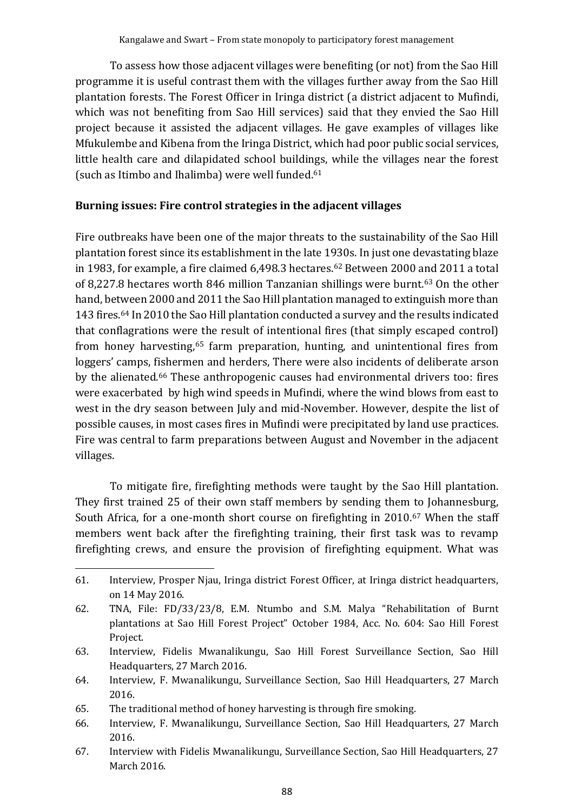To assess how those adjacent villages were benefiting (or not) from the Sao Hill programme it is useful contrast them with the villages further away from the Sao Hill plantation forests. The Forest Officer in Iringa district (a district adjacent to Mufindi, which was not benefiting from Sao Hill services) said that they envied the Sao Hill project because it assisted the adjacent villages. He gave examples of villages like Mfukulembe and Kibena from the Iringa District, which had poor public social services, little health care and dilapidated school buildings, while the villages near the forest (such as Itimbo and Ihalimba) were well funded.<sup>61</sup>

### **Burning issues: Fire control strategies in the adjacent villages**

Fire outbreaks have been one of the major threats to the sustainability of the Sao Hill plantation forest since its establishment in the late 1930s. In just one devastating blaze in 1983, for example, a fire claimed 6,498.3 hectares.<sup>62</sup> Between 2000 and 2011 a total of 8,227.8 hectares worth 846 million Tanzanian shillings were burnt.<sup>63</sup> On the other hand, between 2000 and 2011 the Sao Hill plantation managed to extinguish more than 143 fires.<sup>64</sup> In 2010 the Sao Hill plantation conducted a survey and the results indicated that conflagrations were the result of intentional fires (that simply escaped control) from honey harvesting, <sup>65</sup> farm preparation, hunting, and unintentional fires from loggers' camps, fishermen and herders, There were also incidents of deliberate arson by the alienated. <sup>66</sup> These anthropogenic causes had environmental drivers too: fires were exacerbated by high wind speeds in Mufindi, where the wind blows from east to west in the dry season between July and mid-November. However, despite the list of possible causes, in most cases fires in Mufindi were precipitated by land use practices. Fire was central to farm preparations between August and November in the adjacent villages.

To mitigate fire, firefighting methods were taught by the Sao Hill plantation. They first trained 25 of their own staff members by sending them to Johannesburg, South Africa, for a one-month short course on firefighting in 2010.<sup>67</sup> When the staff members went back after the firefighting training, their first task was to revamp firefighting crews, and ensure the provision of firefighting equipment. What was

<sup>61.</sup> Interview, Prosper Njau, Iringa district Forest Officer, at Iringa district headquarters, on 14 May 2016.

<sup>62.</sup> TNA, File: FD/33/23/8, E.M. Ntumbo and S.M. Malya "Rehabilitation of Burnt plantations at Sao Hill Forest Project" October 1984, Acc. No. 604: Sao Hill Forest Project.

<sup>63.</sup> Interview, Fidelis Mwanalikungu, Sao Hill Forest Surveillance Section, Sao Hill Headquarters, 27 March 2016.

<sup>64.</sup> Interview, F. Mwanalikungu, Surveillance Section, Sao Hill Headquarters, 27 March 2016.

<sup>65.</sup> The traditional method of honey harvesting is through fire smoking.

<sup>66.</sup> Interview, F. Mwanalikungu, Surveillance Section, Sao Hill Headquarters, 27 March 2016.

<sup>67.</sup> Interview with Fidelis Mwanalikungu, Surveillance Section, Sao Hill Headquarters, 27 March 2016.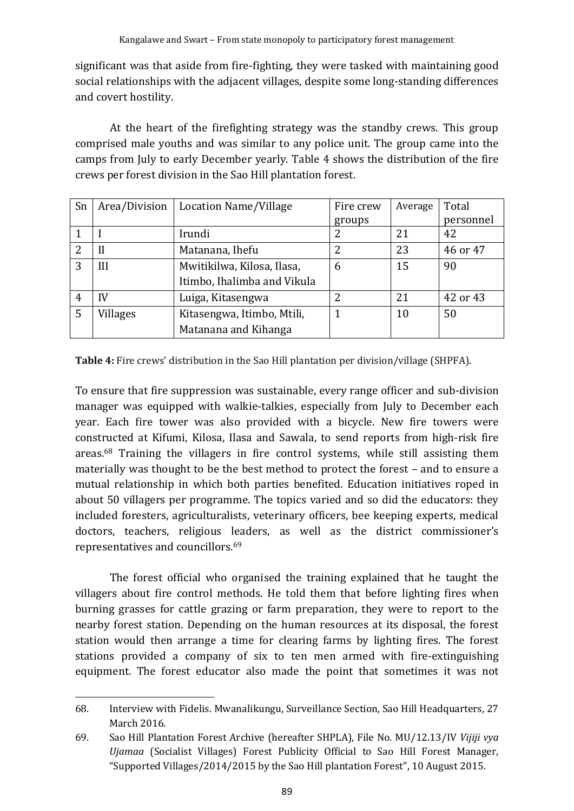significant was that aside from fire-fighting, they were tasked with maintaining good social relationships with the adjacent villages, despite some long-standing differences and covert hostility.

At the heart of the firefighting strategy was the standby crews. This group comprised male youths and was similar to any police unit. The group came into the camps from July to early December yearly. Table 4 shows the distribution of the fire crews per forest division in the Sao Hill plantation forest.

| Sn             | Area/Division | Location Name/Village       | Fire crew | Average | Total     |
|----------------|---------------|-----------------------------|-----------|---------|-----------|
|                |               |                             | groups    |         | personnel |
|                |               | Irundi                      | 2         | 21      | 42        |
| $\overline{2}$ |               | Matanana, Ihefu             |           | 23      | 46 or 47  |
| 3              | III           | Mwitikilwa, Kilosa, Ilasa,  | 6         | 15      | 90        |
|                |               | Itimbo, Ihalimba and Vikula |           |         |           |
| 4              | IV            | Luiga, Kitasengwa           | っ         | 21      | 42 or 43  |
| 5              | Villages      | Kitasengwa, Itimbo, Mtili,  |           | 10      | 50        |
|                |               | Matanana and Kihanga        |           |         |           |

**Table 4:** Fire crews' distribution in the Sao Hill plantation per division/village (SHPFA).

To ensure that fire suppression was sustainable, every range officer and sub-division manager was equipped with walkie-talkies, especially from July to December each year. Each fire tower was also provided with a bicycle. New fire towers were constructed at Kifumi, Kilosa, Ilasa and Sawala, to send reports from high-risk fire areas.<sup>68</sup> Training the villagers in fire control systems, while still assisting them materially was thought to be the best method to protect the forest – and to ensure a mutual relationship in which both parties benefited. Education initiatives roped in about 50 villagers per programme. The topics varied and so did the educators: they included foresters, agriculturalists, veterinary officers, bee keeping experts, medical doctors, teachers, religious leaders, as well as the district commissioner's representatives and councillors.<sup>69</sup>

The forest official who organised the training explained that he taught the villagers about fire control methods. He told them that before lighting fires when burning grasses for cattle grazing or farm preparation, they were to report to the nearby forest station. Depending on the human resources at its disposal, the forest station would then arrange a time for clearing farms by lighting fires. The forest stations provided a company of six to ten men armed with fire-extinguishing equipment. The forest educator also made the point that sometimes it was not

<sup>68.</sup> Interview with Fidelis. Mwanalikungu, Surveillance Section, Sao Hill Headquarters, 27 March 2016.

<sup>69.</sup> Sao Hill Plantation Forest Archive (hereafter SHPLA), File No. MU/12.13/IV *Vijiji vya Ujamaa* (Socialist Villages) Forest Publicity Official to Sao Hill Forest Manager, "Supported Villages/2014/2015 by the Sao Hill plantation Forest", 10 August 2015.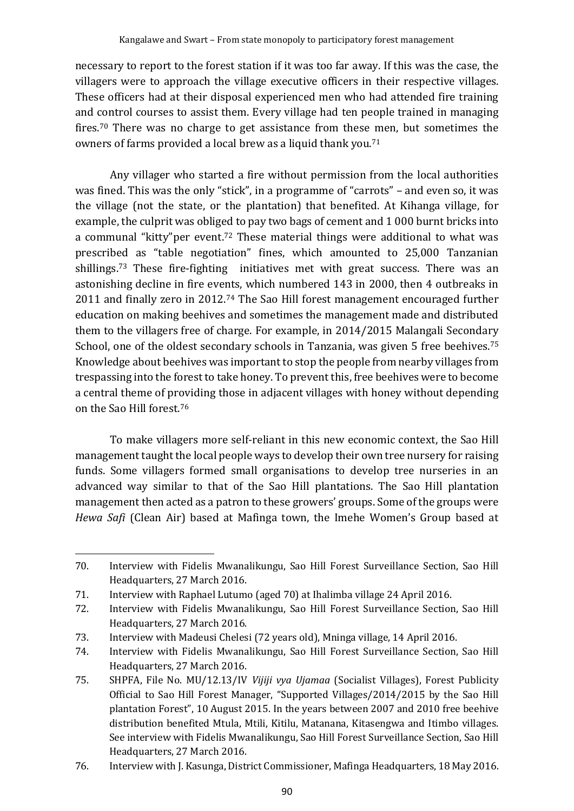necessary to report to the forest station if it was too far away. If this was the case, the villagers were to approach the village executive officers in their respective villages. These officers had at their disposal experienced men who had attended fire training and control courses to assist them. Every village had ten people trained in managing fires.<sup>70</sup> There was no charge to get assistance from these men, but sometimes the owners of farms provided a local brew as a liquid thank you. 71

Any villager who started a fire without permission from the local authorities was fined. This was the only "stick", in a programme of "carrots" – and even so, it was the village (not the state, or the plantation) that benefited. At Kihanga village, for example, the culprit was obliged to pay two bags of cement and 1 000 burnt bricks into a communal "kitty"per event.<sup>72</sup> These material things were additional to what was prescribed as "table negotiation" fines, which amounted to 25,000 Tanzanian shillings.<sup>73</sup> These fire-fighting initiatives met with great success. There was an astonishing decline in fire events, which numbered 143 in 2000, then 4 outbreaks in 2011 and finally zero in 2012.<sup>74</sup> The Sao Hill forest management encouraged further education on making beehives and sometimes the management made and distributed them to the villagers free of charge. For example, in 2014/2015 Malangali Secondary School, one of the oldest secondary schools in Tanzania, was given 5 free beehives.<sup>75</sup> Knowledge about beehives was important to stop the people from nearby villages from trespassing into the forest to take honey. To prevent this, free beehives were to become a central theme of providing those in adjacent villages with honey without depending on the Sao Hill forest. 76

To make villagers more self-reliant in this new economic context, the Sao Hill management taught the local people ways to develop their own tree nursery for raising funds. Some villagers formed small organisations to develop tree nurseries in an advanced way similar to that of the Sao Hill plantations. The Sao Hill plantation management then acted as a patron to these growers' groups. Some of the groups were *Hewa Safi* (Clean Air) based at Mafinga town, the Imehe Women's Group based at

<sup>70.</sup> Interview with Fidelis Mwanalikungu, Sao Hill Forest Surveillance Section, Sao Hill Headquarters, 27 March 2016.

<sup>71.</sup> Interview with Raphael Lutumo (aged 70) at Ihalimba village 24 April 2016.

<sup>72.</sup> Interview with Fidelis Mwanalikungu, Sao Hill Forest Surveillance Section, Sao Hill Headquarters, 27 March 2016.

<sup>73.</sup> Interview with Madeusi Chelesi (72 years old), Mninga village, 14 April 2016.

<sup>74.</sup> Interview with Fidelis Mwanalikungu, Sao Hill Forest Surveillance Section, Sao Hill Headquarters, 27 March 2016.

<sup>75.</sup> SHPFA, File No. MU/12.13/IV *Vijiji vya Ujamaa* (Socialist Villages), Forest Publicity Official to Sao Hill Forest Manager, "Supported Villages/2014/2015 by the Sao Hill plantation Forest", 10 August 2015. In the years between 2007 and 2010 free beehive distribution benefited Mtula, Mtili, Kitilu, Matanana, Kitasengwa and Itimbo villages. See interview with Fidelis Mwanalikungu, Sao Hill Forest Surveillance Section, Sao Hill Headquarters, 27 March 2016.

<sup>76.</sup> Interview with J. Kasunga, District Commissioner, Mafinga Headquarters, 18 May 2016.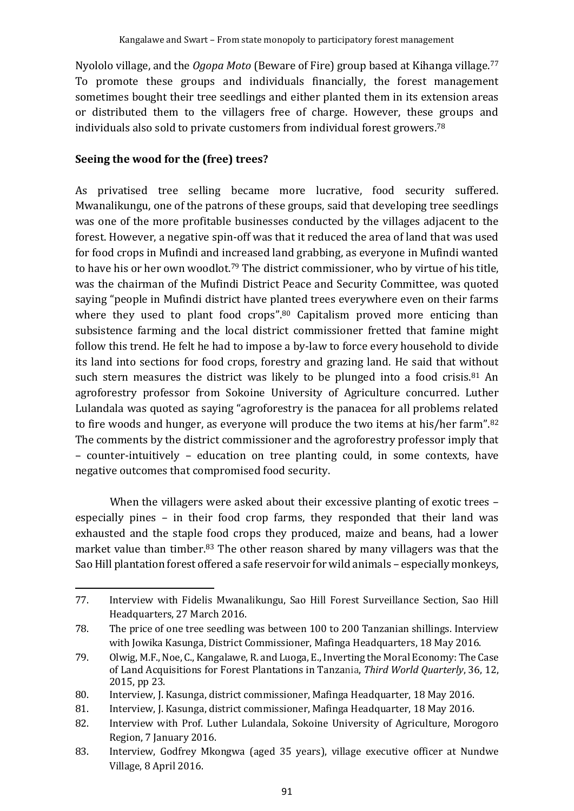Nyololo village, and the *Ogopa Moto* (Beware of Fire) group based at Kihanga village. 77 To promote these groups and individuals financially, the forest management sometimes bought their tree seedlings and either planted them in its extension areas or distributed them to the villagers free of charge. However, these groups and individuals also sold to private customers from individual forest growers.<sup>78</sup>

#### **Seeing the wood for the (free) trees?**

As privatised tree selling became more lucrative, food security suffered. Mwanalikungu, one of the patrons of these groups, said that developing tree seedlings was one of the more profitable businesses conducted by the villages adjacent to the forest. However, a negative spin-off was that it reduced the area of land that was used for food crops in Mufindi and increased land grabbing, as everyone in Mufindi wanted to have his or her own woodlot.<sup>79</sup> The district commissioner, who by virtue of his title, was the chairman of the Mufindi District Peace and Security Committee, was quoted saying "people in Mufindi district have planted trees everywhere even on their farms where they used to plant food crops".<sup>80</sup> Capitalism proved more enticing than subsistence farming and the local district commissioner fretted that famine might follow this trend. He felt he had to impose a by-law to force every household to divide its land into sections for food crops, forestry and grazing land. He said that without such stern measures the district was likely to be plunged into a food crisis.<sup>81</sup> An agroforestry professor from Sokoine University of Agriculture concurred. Luther Lulandala was quoted as saying "agroforestry is the panacea for all problems related to fire woods and hunger, as everyone will produce the two items at his/her farm".<sup>82</sup> The comments by the district commissioner and the agroforestry professor imply that – counter-intuitively – education on tree planting could, in some contexts, have negative outcomes that compromised food security.

When the villagers were asked about their excessive planting of exotic trees – especially pines – in their food crop farms, they responded that their land was exhausted and the staple food crops they produced, maize and beans, had a lower market value than timber.<sup>83</sup> The other reason shared by many villagers was that the Sao Hill plantation forest offered a safe reservoir for wild animals – especially monkeys,

<sup>77.</sup> Interview with Fidelis Mwanalikungu, Sao Hill Forest Surveillance Section, Sao Hill Headquarters, 27 March 2016.

<sup>78.</sup> The price of one tree seedling was between 100 to 200 Tanzanian shillings. Interview with Jowika Kasunga, District Commissioner, Mafinga Headquarters, 18 May 2016.

<sup>79.</sup> Olwig, M.F., Noe, C., Kangalawe, R. and Luoga, E., Inverting the Moral Economy: The Case of Land Acquisitions for Forest Plantations in Tanzania, *Third World Quarterly*, 36, 12, 2015, pp 23.

<sup>80.</sup> Interview, J. Kasunga, district commissioner, Mafinga Headquarter, 18 May 2016.

<sup>81.</sup> Interview, J. Kasunga, district commissioner, Mafinga Headquarter, 18 May 2016.

<sup>82.</sup> Interview with Prof. Luther Lulandala, Sokoine University of Agriculture, Morogoro Region, 7 January 2016.

<sup>83.</sup> Interview, Godfrey Mkongwa (aged 35 years), village executive officer at Nundwe Village, 8 April 2016.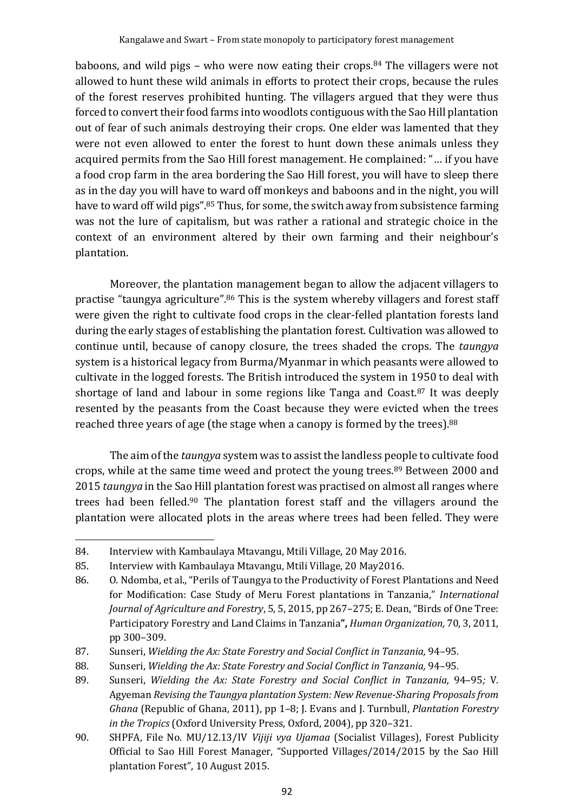baboons, and wild pigs – who were now eating their crops.<sup>84</sup> The villagers were not allowed to hunt these wild animals in efforts to protect their crops, because the rules of the forest reserves prohibited hunting. The villagers argued that they were thus forced to convert their food farms into woodlots contiguous with the Sao Hill plantation out of fear of such animals destroying their crops. One elder was lamented that they were not even allowed to enter the forest to hunt down these animals unless they acquired permits from the Sao Hill forest management. He complained: "… if you have a food crop farm in the area bordering the Sao Hill forest, you will have to sleep there as in the day you will have to ward off monkeys and baboons and in the night, you will have to ward off wild pigs".<sup>85</sup> Thus, for some, the switch away from subsistence farming was not the lure of capitalism, but was rather a rational and strategic choice in the context of an environment altered by their own farming and their neighbour's plantation.

Moreover, the plantation management began to allow the adjacent villagers to practise "taungya agriculture".<sup>86</sup> This is the system whereby villagers and forest staff were given the right to cultivate food crops in the clear-felled plantation forests land during the early stages of establishing the plantation forest. Cultivation was allowed to continue until, because of canopy closure, the trees shaded the crops. The *taungya* system is a historical legacy from Burma/Myanmar in which peasants were allowed to cultivate in the logged forests. The British introduced the system in 1950 to deal with shortage of land and labour in some regions like Tanga and Coast.<sup>87</sup> It was deeply resented by the peasants from the Coast because they were evicted when the trees reached three years of age (the stage when a canopy is formed by the trees).<sup>88</sup>

The aim of the *taungya* system was to assist the landless people to cultivate food crops, while at the same time weed and protect the young trees.<sup>89</sup> Between 2000 and 2015 *taungya* in the Sao Hill plantation forest was practised on almost all ranges where trees had been felled.<sup>90</sup> The plantation forest staff and the villagers around the plantation were allocated plots in the areas where trees had been felled. They were

<sup>84.</sup> Interview with Kambaulaya Mtavangu, Mtili Village, 20 May 2016.

<sup>85.</sup> Interview with Kambaulaya Mtavangu, Mtili Village, 20 May2016.

<sup>86.</sup> O. Ndomba, et al., "Perils of Taungya to the Productivity of Forest Plantations and Need for Modification: Case Study of Meru Forest plantations in Tanzania," *International Journal of Agriculture and Forestry*, 5, 5, 2015, pp 267–275; E. [Dean](javascript:;), "Birds of One Tree: Participatory Forestry and Land Claims in Tanzania**",** *Human Organization,* 70, 3, 2011, pp 300–309.

<sup>87.</sup> Sunseri, *Wielding the Ax: State Forestry and Social Conflict in Tanzania,* 94–95*.*

<sup>88.</sup> Sunseri, *Wielding the Ax: State Forestry and Social Conflict in Tanzania,* 94–95*.*

<sup>89.</sup> Sunseri, *Wielding the Ax: State Forestry and Social Conflict in Tanzania,* 94–95*;* V. Agyeman *Revising the Taungya plantation System: New Revenue-Sharing Proposals from Ghana* (Republic of Ghana, 2011), pp 1–8; J. Evans and J. Turnbull, *Plantation Forestry in the Tropics* (Oxford University Press, Oxford, 2004), pp 320–321.

<sup>90.</sup> SHPFA, File No. MU/12.13/IV *Vijiji vya Ujamaa* (Socialist Villages), Forest Publicity Official to Sao Hill Forest Manager, "Supported Villages/2014/2015 by the Sao Hill plantation Forest", 10 August 2015.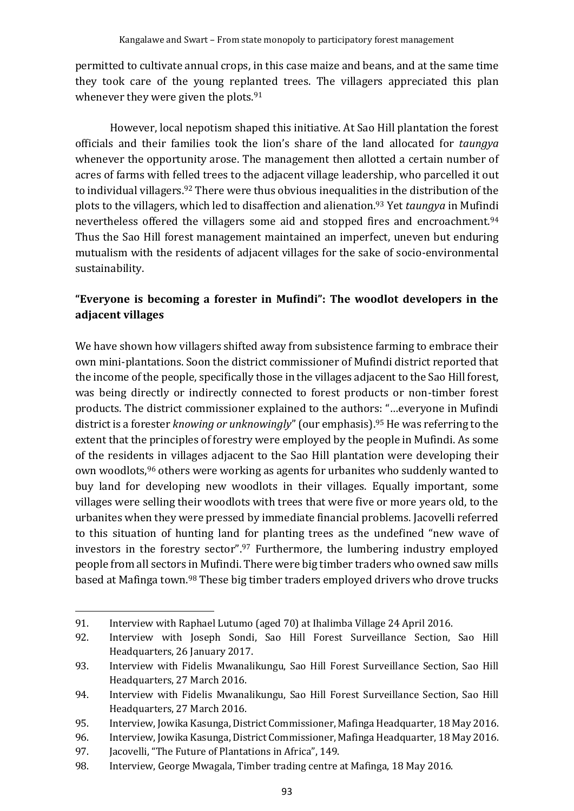permitted to cultivate annual crops, in this case maize and beans, and at the same time they took care of the young replanted trees. The villagers appreciated this plan whenever they were given the plots.<sup>91</sup>

However, local nepotism shaped this initiative. At Sao Hill plantation the forest officials and their families took the lion's share of the land allocated for *taungya* whenever the opportunity arose. The management then allotted a certain number of acres of farms with felled trees to the adjacent village leadership, who parcelled it out to individual villagers.<sup>92</sup> There were thus obvious inequalities in the distribution of the plots to the villagers, which led to disaffection and alienation. <sup>93</sup> Yet *taungya* in Mufindi nevertheless offered the villagers some aid and stopped fires and encroachment.<sup>94</sup> Thus the Sao Hill forest management maintained an imperfect, uneven but enduring mutualism with the residents of adjacent villages for the sake of socio-environmental sustainability.

# **"Everyone is becoming a forester in Mufindi": The woodlot developers in the adjacent villages**

We have shown how villagers shifted away from subsistence farming to embrace their own mini-plantations. Soon the district commissioner of Mufindi district reported that the income of the people, specifically those in the villages adjacent to the Sao Hill forest, was being directly or indirectly connected to forest products or non-timber forest products. The district commissioner explained to the authors: "…everyone in Mufindi district is a forester *knowing or unknowingly*"(our emphasis). <sup>95</sup> He was referring to the extent that the principles of forestry were employed by the people in Mufindi. As some of the residents in villages adjacent to the Sao Hill plantation were developing their own woodlots, <sup>96</sup> others were working as agents for urbanites who suddenly wanted to buy land for developing new woodlots in their villages. Equally important, some villages were selling their woodlots with trees that were five or more years old, to the urbanites when they were pressed by immediate financial problems. Jacovelli referred to this situation of hunting land for planting trees as the undefined "new wave of investors in the forestry sector".<sup>97</sup> Furthermore, the lumbering industry employed people from all sectors in Mufindi. There were big timber traders who owned saw mills based at Mafinga town.<sup>98</sup> These big timber traders employed drivers who drove trucks

<sup>91.</sup> Interview with Raphael Lutumo (aged 70) at Ihalimba Village 24 April 2016.

<sup>92.</sup> Interview with Joseph Sondi, Sao Hill Forest Surveillance Section, Sao Hill Headquarters, 26 January 2017.

<sup>93.</sup> Interview with Fidelis Mwanalikungu, Sao Hill Forest Surveillance Section, Sao Hill Headquarters, 27 March 2016.

<sup>94.</sup> Interview with Fidelis Mwanalikungu, Sao Hill Forest Surveillance Section, Sao Hill Headquarters, 27 March 2016.

<sup>95.</sup> Interview, Jowika Kasunga, District Commissioner, Mafinga Headquarter, 18 May 2016.

<sup>96.</sup> Interview, Jowika Kasunga, District Commissioner, Mafinga Headquarter, 18 May 2016.

<sup>97.</sup> Jacovelli, "The Future of Plantations in Africa", 149.

<sup>98.</sup> Interview, George Mwagala, Timber trading centre at Mafinga, 18 May 2016.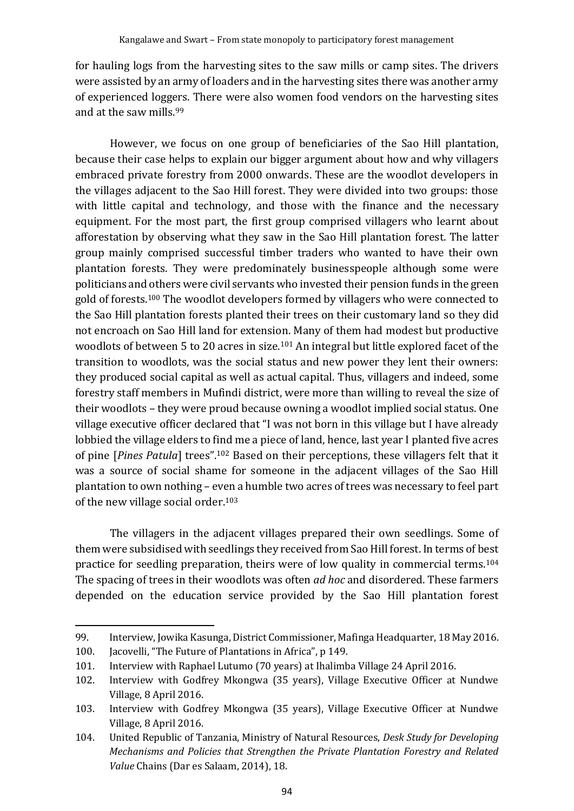for hauling logs from the harvesting sites to the saw mills or camp sites. The drivers were assisted by an army of loaders and in the harvesting sites there was another army of experienced loggers. There were also women food vendors on the harvesting sites and at the saw mills.<sup>99</sup>

However, we focus on one group of beneficiaries of the Sao Hill plantation, because their case helps to explain our bigger argument about how and why villagers embraced private forestry from 2000 onwards. These are the woodlot developers in the villages adjacent to the Sao Hill forest. They were divided into two groups: those with little capital and technology, and those with the finance and the necessary equipment. For the most part, the first group comprised villagers who learnt about afforestation by observing what they saw in the Sao Hill plantation forest. The latter group mainly comprised successful timber traders who wanted to have their own plantation forests. They were predominately businesspeople although some were politicians and others were civil servants who invested their pension funds in the green gold of forests.<sup>100</sup> The woodlot developers formed by villagers who were connected to the Sao Hill plantation forests planted their trees on their customary land so they did not encroach on Sao Hill land for extension. Many of them had modest but productive woodlots of between 5 to 20 acres in size.<sup>101</sup> An integral but little explored facet of the transition to woodlots, was the social status and new power they lent their owners: they produced social capital as well as actual capital. Thus, villagers and indeed, some forestry staff members in Mufindi district, were more than willing to reveal the size of their woodlots – they were proud because owning a woodlot implied social status. One village executive officer declared that "I was not born in this village but I have already lobbied the village elders to find me a piece of land, hence, last year I planted five acres of pine [*Pines Patula*] trees". <sup>102</sup> Based on their perceptions, these villagers felt that it was a source of social shame for someone in the adjacent villages of the Sao Hill plantation to own nothing – even a humble two acres of trees was necessary to feel part of the new village social order. 103

The villagers in the adjacent villages prepared their own seedlings. Some of them were subsidised with seedlings they received from Sao Hill forest. In terms of best practice for seedling preparation, theirs were of low quality in commercial terms.<sup>104</sup> The spacing of trees in their woodlots was often *ad hoc* and disordered. These farmers depended on the education service provided by the Sao Hill plantation forest

<sup>99.</sup> Interview, Jowika Kasunga, District Commissioner, Mafinga Headquarter, 18 May 2016.

<sup>100.</sup> Jacovelli, "The Future of Plantations in Africa", p 149.

<sup>101.</sup> Interview with Raphael Lutumo (70 years) at Ihalimba Village 24 April 2016.

<sup>102.</sup> Interview with Godfrey Mkongwa (35 years), Village Executive Officer at Nundwe Village, 8 April 2016.

<sup>103.</sup> Interview with Godfrey Mkongwa (35 years), Village Executive Officer at Nundwe Village, 8 April 2016.

<sup>104.</sup> United Republic of Tanzania, Ministry of Natural Resources, *Desk Study for Developing Mechanisms and Policies that Strengthen the Private Plantation Forestry and Related Value* Chains (Dar es Salaam, 2014), 18.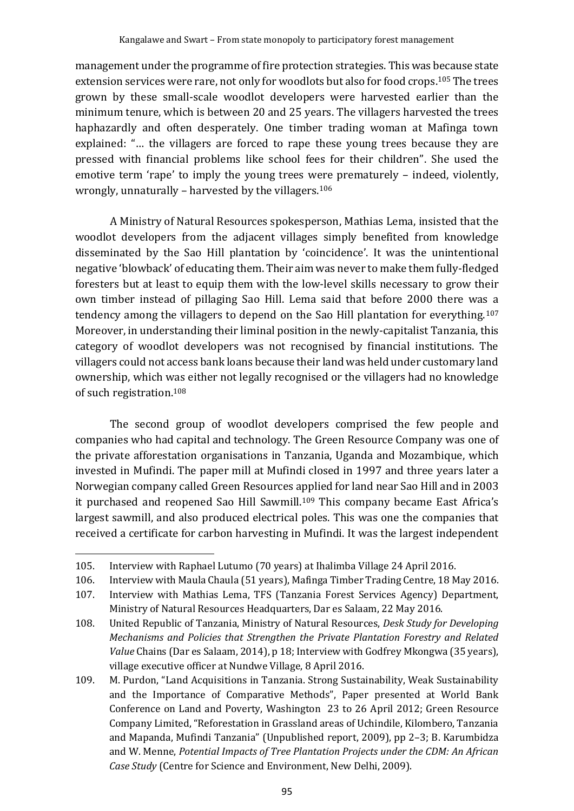management under the programme of fire protection strategies. This was because state extension services were rare, not only for woodlots but also for food crops.<sup>105</sup> The trees grown by these small-scale woodlot developers were harvested earlier than the minimum tenure, which is between 20 and 25 years. The villagers harvested the trees haphazardly and often desperately. One timber trading woman at Mafinga town explained: "… the villagers are forced to rape these young trees because they are pressed with financial problems like school fees for their children". She used the emotive term 'rape' to imply the young trees were prematurely – indeed, violently, wrongly, unnaturally - harvested by the villagers.<sup>106</sup>

A Ministry of Natural Resources spokesperson, Mathias Lema, insisted that the woodlot developers from the adjacent villages simply benefited from knowledge disseminated by the Sao Hill plantation by 'coincidence'. It was the unintentional negative 'blowback' of educating them. Their aim was never to make them fully-fledged foresters but at least to equip them with the low-level skills necessary to grow their own timber instead of pillaging Sao Hill. Lema said that before 2000 there was a tendency among the villagers to depend on the Sao Hill plantation for everything.<sup>107</sup> Moreover, in understanding their liminal position in the newly-capitalist Tanzania, this category of woodlot developers was not recognised by financial institutions. The villagers could not access bank loans because their land was held under customary land ownership, which was either not legally recognised or the villagers had no knowledge of such registration.<sup>108</sup>

The second group of woodlot developers comprised the few people and companies who had capital and technology. The Green Resource Company was one of the private afforestation organisations in Tanzania, Uganda and Mozambique, which invested in Mufindi. The paper mill at Mufindi closed in 1997 and three years later a Norwegian company called Green Resources applied for land near Sao Hill and in 2003 it purchased and reopened Sao Hill Sawmill. <sup>109</sup> This company became East Africa's largest sawmill, and also produced electrical poles. This was one the companies that received a certificate for carbon harvesting in Mufindi. It was the largest independent

<sup>105.</sup> Interview with Raphael Lutumo (70 years) at Ihalimba Village 24 April 2016.

<sup>106.</sup> Interview with Maula Chaula (51 years), Mafinga Timber Trading Centre, 18 May 2016.

<sup>107.</sup> Interview with Mathias Lema, TFS (Tanzania Forest Services Agency) Department, Ministry of Natural Resources Headquarters, Dar es Salaam, 22 May 2016.

<sup>108.</sup> United Republic of Tanzania, Ministry of Natural Resources, *Desk Study for Developing Mechanisms and Policies that Strengthen the Private Plantation Forestry and Related Value* Chains (Dar es Salaam, 2014), p 18; Interview with Godfrey Mkongwa (35 years), village executive officer at Nundwe Village, 8 April 2016.

<sup>109.</sup> M. Purdon, "Land Acquisitions in Tanzania. Strong Sustainability, Weak Sustainability and the Importance of Comparative Methods", Paper presented at World Bank Conference on Land and Poverty, Washington 23 to 26 April 2012; Green Resource Company Limited, "Reforestation in Grassland areas of Uchindile, Kilombero, Tanzania and Mapanda, Mufindi Tanzania" (Unpublished report, 2009), pp 2–3; B. Karumbidza and W. Menne, *Potential Impacts of Tree Plantation Projects under the CDM: An African Case Study* (Centre for Science and Environment, New Delhi, 2009).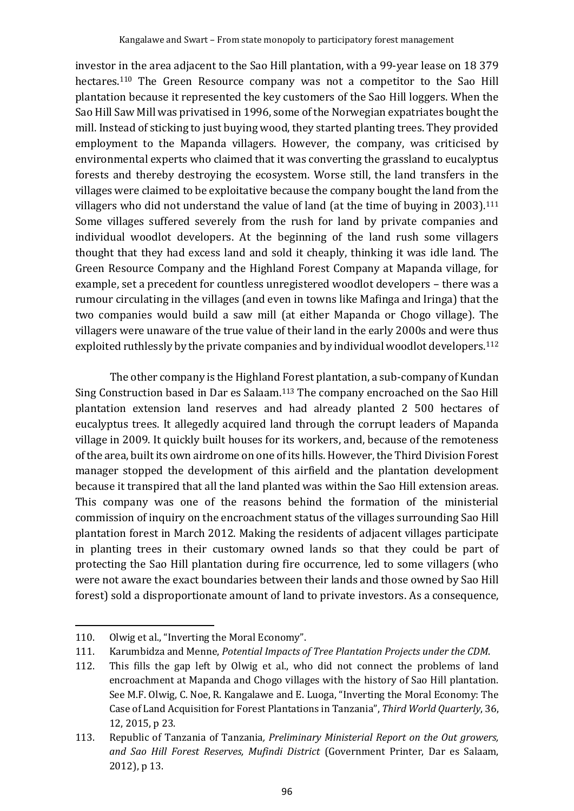investor in the area adjacent to the Sao Hill plantation, with a 99-year lease on 18 379 hectares.<sup>110</sup> The Green Resource company was not a competitor to the Sao Hill plantation because it represented the key customers of the Sao Hill loggers. When the Sao Hill Saw Mill was privatised in 1996, some of the Norwegian expatriates bought the mill. Instead of sticking to just buying wood, they started planting trees. They provided employment to the Mapanda villagers. However, the company, was criticised by environmental experts who claimed that it was converting the grassland to eucalyptus forests and thereby destroying the ecosystem. Worse still, the land transfers in the villages were claimed to be exploitative because the company bought the land from the villagers who did not understand the value of land (at the time of buying in 2003).<sup>111</sup> Some villages suffered severely from the rush for land by private companies and individual woodlot developers. At the beginning of the land rush some villagers thought that they had excess land and sold it cheaply, thinking it was idle land. The Green Resource Company and the Highland Forest Company at Mapanda village, for example, set a precedent for countless unregistered woodlot developers – there was a rumour circulating in the villages (and even in towns like Mafinga and Iringa) that the two companies would build a saw mill (at either Mapanda or Chogo village). The villagers were unaware of the true value of their land in the early 2000s and were thus exploited ruthlessly by the private companies and by individual woodlot developers.<sup>112</sup>

The other company is the Highland Forest plantation, a sub-company of Kundan Sing Construction based in Dar es Salaam.<sup>113</sup> The company encroached on the Sao Hill plantation extension land reserves and had already planted 2 500 hectares of eucalyptus trees. It allegedly acquired land through the corrupt leaders of Mapanda village in 2009. It quickly built houses for its workers, and, because of the remoteness of the area, built its own airdrome on one of its hills. However, the Third Division Forest manager stopped the development of this airfield and the plantation development because it transpired that all the land planted was within the Sao Hill extension areas. This company was one of the reasons behind the formation of the ministerial commission of inquiry on the encroachment status of the villages surrounding Sao Hill plantation forest in March 2012. Making the residents of adjacent villages participate in planting trees in their customary owned lands so that they could be part of protecting the Sao Hill plantation during fire occurrence, led to some villagers (who were not aware the exact boundaries between their lands and those owned by Sao Hill forest) sold a disproportionate amount of land to private investors. As a consequence,

<sup>110.</sup> Olwig et al., "Inverting the Moral Economy".

<sup>111.</sup> Karumbidza and Menne, *Potential Impacts of Tree Plantation Projects under the CDM*.

<sup>112.</sup> This fills the gap left by Olwig et al., who did not connect the problems of land encroachment at Mapanda and Chogo villages with the history of Sao Hill plantation. See M.F. Olwig, C. Noe, R. Kangalawe and E. Luoga, "Inverting the Moral Economy: The Case of Land Acquisition for Forest Plantations in Tanzania", *Third World Quarterly*, 36, 12, 2015, p 23.

<sup>113.</sup> Republic of Tanzania of Tanzania*, Preliminary Ministerial Report on the Out growers, and Sao Hill Forest Reserves, Mufindi District* (Government Printer, Dar es Salaam, 2012), p 13.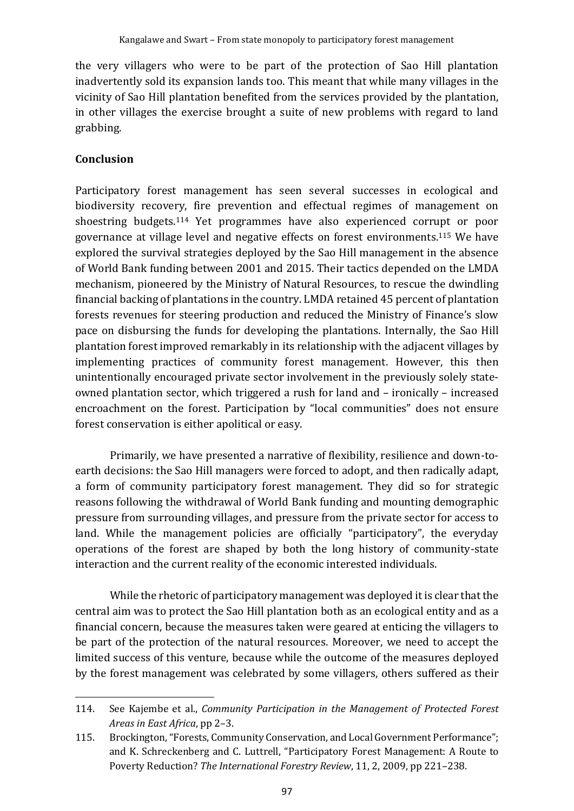the very villagers who were to be part of the protection of Sao Hill plantation inadvertently sold its expansion lands too. This meant that while many villages in the vicinity of Sao Hill plantation benefited from the services provided by the plantation, in other villages the exercise brought a suite of new problems with regard to land grabbing.

## **Conclusion**

Participatory forest management has seen several successes in ecological and biodiversity recovery, fire prevention and effectual regimes of management on shoestring budgets.<sup>114</sup> Yet programmes have also experienced corrupt or poor governance at village level and negative effects on forest environments.<sup>115</sup> We have explored the survival strategies deployed by the Sao Hill management in the absence of World Bank funding between 2001 and 2015. Their tactics depended on the LMDA mechanism, pioneered by the Ministry of Natural Resources, to rescue the dwindling financial backing of plantations in the country. LMDA retained 45 percent of plantation forests revenues for steering production and reduced the Ministry of Finance's slow pace on disbursing the funds for developing the plantations. Internally, the Sao Hill plantation forest improved remarkably in its relationship with the adjacent villages by implementing practices of community forest management. However, this then unintentionally encouraged private sector involvement in the previously solely stateowned plantation sector, which triggered a rush for land and – ironically – increased encroachment on the forest. Participation by "local communities" does not ensure forest conservation is either apolitical or easy.

Primarily, we have presented a narrative of flexibility, resilience and down-toearth decisions: the Sao Hill managers were forced to adopt, and then radically adapt, a form of community participatory forest management. They did so for strategic reasons following the withdrawal of World Bank funding and mounting demographic pressure from surrounding villages, and pressure from the private sector for access to land. While the management policies are officially "participatory", the everyday operations of the forest are shaped by both the long history of community-state interaction and the current reality of the economic interested individuals.

While the rhetoric of participatory management was deployed it is clear that the central aim was to protect the Sao Hill plantation both as an ecological entity and as a financial concern, because the measures taken were geared at enticing the villagers to be part of the protection of the natural resources. Moreover, we need to accept the limited success of this venture, because while the outcome of the measures deployed by the forest management was celebrated by some villagers, others suffered as their

<sup>114.</sup> See Kajembe et al., *Community Participation in the Management of Protected Forest Areas in East Africa*, pp 2–3.

<sup>115.</sup> Brockington, "Forests, Community Conservation, and Local Government Performance"; and K. Schreckenberg and C. Luttrell, "Participatory Forest Management: A Route to Poverty Reduction? *The International Forestry Review*, 11, 2, 2009, pp 221–238.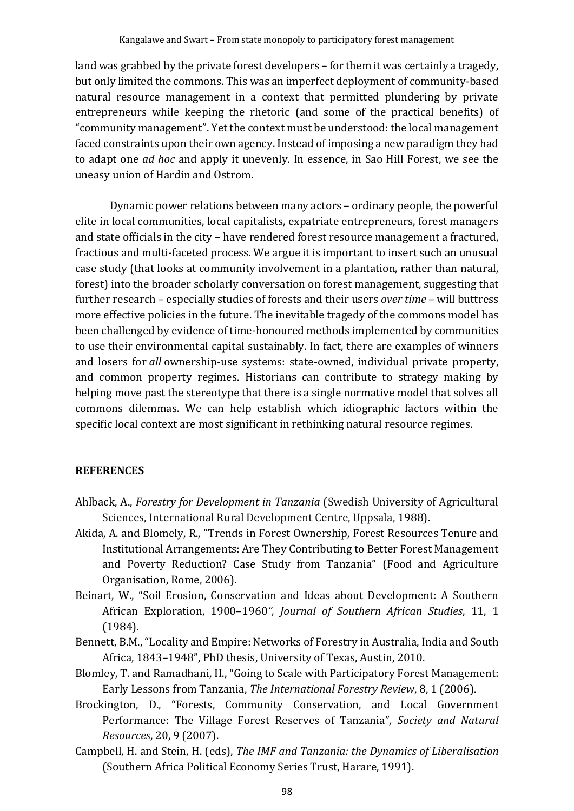land was grabbed by the private forest developers – for them it was certainly a tragedy, but only limited the commons. This was an imperfect deployment of community-based natural resource management in a context that permitted plundering by private entrepreneurs while keeping the rhetoric (and some of the practical benefits) of "community management". Yet the context must be understood: the local management faced constraints upon their own agency. Instead of imposing a new paradigm they had to adapt one *ad hoc* and apply it unevenly. In essence, in Sao Hill Forest, we see the uneasy union of Hardin and Ostrom.

Dynamic power relations between many actors – ordinary people, the powerful elite in local communities, local capitalists, expatriate entrepreneurs, forest managers and state officials in the city – have rendered forest resource management a fractured, fractious and multi-faceted process. We argue it is important to insert such an unusual case study (that looks at community involvement in a plantation, rather than natural, forest) into the broader scholarly conversation on forest management, suggesting that further research – especially studies of forests and their users *over time* – will buttress more effective policies in the future. The inevitable tragedy of the commons model has been challenged by evidence of time-honoured methods implemented by communities to use their environmental capital sustainably. In fact, there are examples of winners and losers for *all* ownership-use systems: state-owned, individual private property, and common property regimes. Historians can contribute to strategy making by helping move past the stereotype that there is a single normative model that solves all commons dilemmas. We can help establish which idiographic factors within the specific local context are most significant in rethinking natural resource regimes.

#### **REFERENCES**

- Ahlback, A., *Forestry for Development in Tanzania* (Swedish University of Agricultural Sciences, International Rural Development Centre, Uppsala, 1988).
- Akida, A. and Blomely, R., "Trends in Forest Ownership, Forest Resources Tenure and Institutional Arrangements: Are They Contributing to Better Forest Management and Poverty Reduction? Case Study from Tanzania" (Food and Agriculture Organisation, Rome, 2006).
- Beinart, W., "Soil Erosion, Conservation and Ideas about Development: A Southern African Exploration, 1900–1960*", Journal of Southern African Studies*, 11, 1 (1984).
- Bennett, B.M., "Locality and Empire: Networks of Forestry in Australia, India and South Africa, 1843–1948", PhD thesis, University of Texas, Austin, 2010.
- Blomley, T. and Ramadhani, H., "Going to Scale with Participatory Forest Management: Early Lessons from Tanzania, *The International Forestry Review*, 8, 1 (2006).
- Brockington, D., "Forests, Community Conservation, and Local Government Performance: The Village Forest Reserves of Tanzania"*, Society and Natural Resources*, 20, 9 (2007).
- Campbell, H. and Stein, H. (eds), *The IMF and Tanzania: the Dynamics of Liberalisation* (Southern Africa Political Economy Series Trust, Harare, 1991).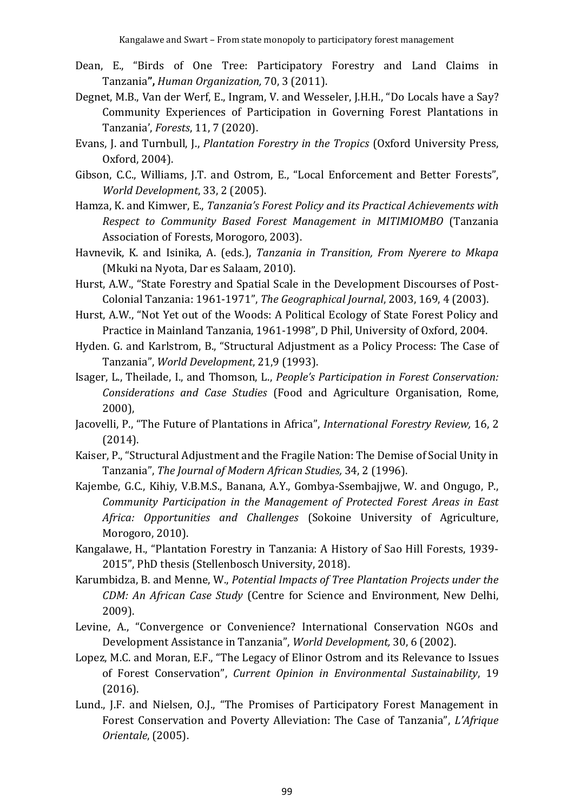- [Dean,](javascript:;) E., "Birds of One Tree: Participatory Forestry and Land Claims in Tanzania**",** *Human Organization,* 70, 3 (2011).
- Degnet, M.B., Van der Werf, E., Ingram, V. and Wesseler, J.H.H., "Do Locals have a Say? Community Experiences of Participation in Governing Forest Plantations in Tanzania', *Forests*, 11, 7 (2020).
- Evans, J. and Turnbull, J., *Plantation Forestry in the Tropics* (Oxford University Press, Oxford, 2004).
- Gibson, C.C., Williams, J.T. and Ostrom, E., "Local Enforcement and Better Forests", *World Development*, 33, 2 (2005).
- Hamza, K. and Kimwer, E., *Tanzania's Forest Policy and its Practical Achievements with Respect to Community Based Forest Management in MITIMIOMBO* (Tanzania Association of Forests, Morogoro, 2003).
- Havnevik, K. and Isinika, A. (eds.), *Tanzania in Transition, From Nyerere to Mkapa* (Mkuki na Nyota, Dar es Salaam, 2010).
- Hurst, A.W., "State Forestry and Spatial Scale in the Development Discourses of Post-Colonial Tanzania: 1961-1971", *The Geographical Journal*, 2003, 169, 4 (2003).
- Hurst, A.W., "Not Yet out of the Woods: A Political Ecology of State Forest Policy and Practice in Mainland Tanzania, 1961-1998", D Phil, University of Oxford, 2004.
- Hyden. G. and Karlstrom, B., "Structural Adjustment as a Policy Process: The Case of Tanzania", *World Development*, 21,9 (1993).
- Isager, L., Theilade, I., and Thomson, L., *People's Participation in Forest Conservation: Considerations and Case Studies* (Food and Agriculture Organisation, Rome, 2000),
- Jacovelli, P., "The Future of Plantations in Africa", *International Forestry Review,* 16, 2 (2014).
- Kaiser, P., "Structural Adjustment and the Fragile Nation: The Demise of Social Unity in Tanzania", *The Journal of Modern African Studies,* 34, 2 (1996).
- Kajembe, G.C., Kihiy, V.B.M.S., Banana, A.Y., Gombya-Ssembajjwe, W. and Ongugo, P., *Community Participation in the Management of Protected Forest Areas in East Africa: Opportunities and Challenges* (Sokoine University of Agriculture, Morogoro, 2010).
- Kangalawe, H., "Plantation Forestry in Tanzania: A History of Sao Hill Forests, 1939- 2015", PhD thesis (Stellenbosch University, 2018).
- Karumbidza, B. and Menne, W., *Potential Impacts of Tree Plantation Projects under the CDM: An African Case Study* (Centre for Science and Environment, New Delhi, 2009).
- Levine, A., "Convergence or Convenience? International Conservation NGOs and Development Assistance in Tanzania", *World Development,* 30, 6 (2002).
- Lopez, M.C. and Moran, E.F., "The Legacy of Elinor Ostrom and its Relevance to Issues of Forest Conservation", *Current Opinion in Environmental Sustainability*, 19 (2016).
- Lund., J.F. and Nielsen, O.J., "The Promises of Participatory Forest Management in Forest Conservation and Poverty Alleviation: The Case of Tanzania", *L'Afrique Orientale*, (2005).